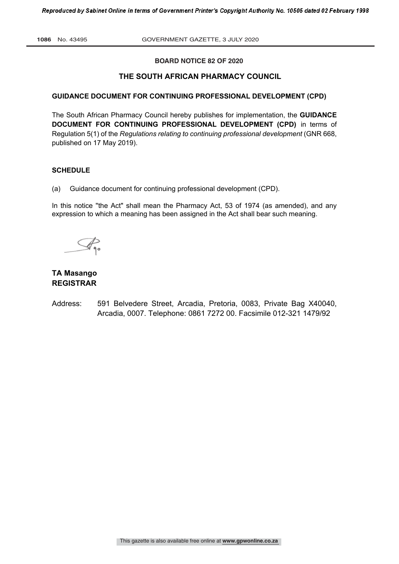# **BOARD NOTICE 82 OF 2020**

# **THE SOUTH AFRICAN PHARMACY COUNCIL**

# **GUIDANCE DOCUMENT FOR CONTINUING PROFESSIONAL DEVELOPMENT (CPD)**

The South African Pharmacy Council hereby publishes for implementation, the **GUIDANCE DOCUMENT FOR CONTINUING PROFESSIONAL DEVELOPMENT (CPD)** in terms of Regulation 5(1) of the *Regulations relating to continuing professional development* (GNR 668, published on 17 May 2019).

### **SCHEDULE**

(a) Guidance document for continuing professional development (CPD).

In this notice ''the Act" shall mean the Pharmacy Act, 53 of 1974 (as amended), and any expression to which a meaning has been assigned in the Act shall bear such meaning.

# **TA Masango REGISTRAR**

Address: 591 Belvedere Street, Arcadia, Pretoria, 0083, Private Bag X40040, Arcadia, 0007. Telephone: 0861 7272 00. Facsimile 012-321 1479/92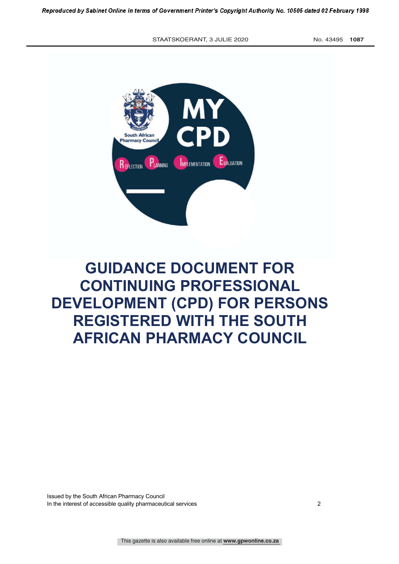STAATSKOERANT, 3 JULIE 2020 No. 43495 1087



# **GUIDANCE DOCUMENT FOR CONTINUING PROFESSIONAL DEVELOPMENT (CPD) FOR PERSONS REGISTERED WITH THE SOUTH AFRICAN PHARMACY COUNCIL**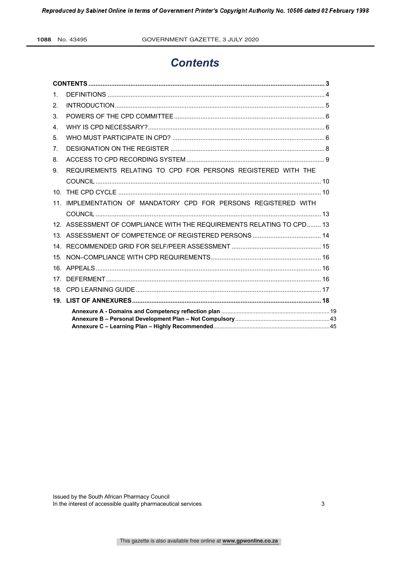1088 No. 43495

# **Contents**

| 1              |                                                                       |  |
|----------------|-----------------------------------------------------------------------|--|
| 2.             |                                                                       |  |
| 3.             |                                                                       |  |
| $\mathbf{4}$   |                                                                       |  |
| 5.             |                                                                       |  |
| 7 <sub>1</sub> |                                                                       |  |
| 8.             |                                                                       |  |
| 9.             | REQUIREMENTS RELATING TO CPD FOR PERSONS REGISTERED WITH THE          |  |
|                |                                                                       |  |
|                |                                                                       |  |
|                | 11. IMPLEMENTATION OF MANDATORY CPD FOR PERSONS REGISTERED WITH       |  |
|                |                                                                       |  |
|                | 12. ASSESSMENT OF COMPLIANCE WITH THE REQUIREMENTS RELATING TO CPD 13 |  |
|                |                                                                       |  |
|                |                                                                       |  |
|                |                                                                       |  |
|                |                                                                       |  |
|                |                                                                       |  |
|                |                                                                       |  |
|                |                                                                       |  |
|                |                                                                       |  |
|                |                                                                       |  |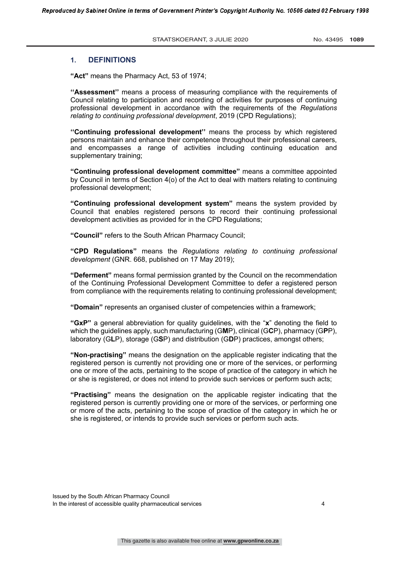#### **1. DEFINITIONS**

**"Act"** means the Pharmacy Act, 53 of 1974;

**''Assessment''** means a process of measuring compliance with the requirements of Council relating to participation and recording of activities for purposes of continuing professional development in accordance with the requirements of the *Regulations relating to continuing professional development*, 2019 (CPD Regulations);

**''Continuing professional development''** means the process by which registered persons maintain and enhance their competence throughout their professional careers, and encompasses a range of activities including continuing education and supplementary training;

**"Continuing professional development committee"** means a committee appointed by Council in terms of Section 4(o) of the Act to deal with matters relating to continuing professional development;

**"Continuing professional development system"** means the system provided by Council that enables registered persons to record their continuing professional development activities as provided for in the CPD Regulations;

**"Council"** refers to the South African Pharmacy Council;

**"CPD Regulations"** means the *Regulations relating to continuing professional development* (GNR. 668, published on 17 May 2019);

**"Deferment"** means formal permission granted by the Council on the recommendation of the Continuing Professional Development Committee to defer a registered person from compliance with the requirements relating to continuing professional development;

**"Domain"** represents an organised cluster of competencies within a framework;

**"GxP"** a general abbreviation for quality guidelines, with the "**x**" denoting the field to which the guidelines apply, such manufacturing (G**M**P), clinical (G**C**P), pharmacy (G**P**P), laboratory (G**L**P), storage (G**S**P) and distribution (G**D**P) practices, amongst others;

**"Non-practising"** means the designation on the applicable register indicating that the registered person is currently not providing one or more of the services, or performing one or more of the acts, pertaining to the scope of practice of the category in which he or she is registered, or does not intend to provide such services or perform such acts;

**"Practising"** means the designation on the applicable register indicating that the registered person is currently providing one or more of the services, or performing one or more of the acts, pertaining to the scope of practice of the category in which he or she is registered, or intends to provide such services or perform such acts.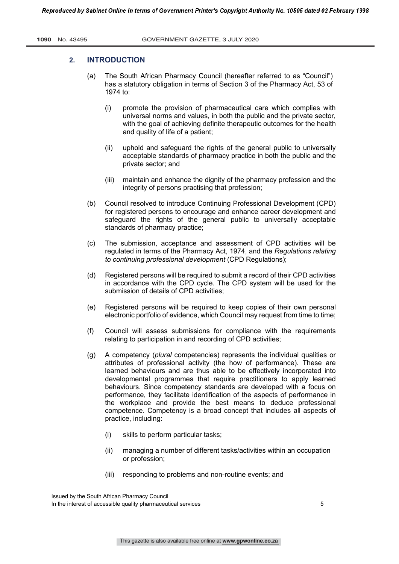#### **2. INTRODUCTION**

- (a) The South African Pharmacy Council (hereafter referred to as "Council") has a statutory obligation in terms of Section 3 of the Pharmacy Act, 53 of 1974 to:
	- (i) promote the provision of pharmaceutical care which complies with universal norms and values, in both the public and the private sector, with the goal of achieving definite therapeutic outcomes for the health and quality of life of a patient;
	- (ii) uphold and safeguard the rights of the general public to universally acceptable standards of pharmacy practice in both the public and the private sector; and
	- (iii) maintain and enhance the dignity of the pharmacy profession and the integrity of persons practising that profession;
- (b) Council resolved to introduce Continuing Professional Development (CPD) for registered persons to encourage and enhance career development and safeguard the rights of the general public to universally acceptable standards of pharmacy practice;
- (c) The submission, acceptance and assessment of CPD activities will be regulated in terms of the Pharmacy Act, 1974, and the *Regulations relating to continuing professional development* (CPD Regulations);
- (d) Registered persons will be required to submit a record of their CPD activities in accordance with the CPD cycle. The CPD system will be used for the submission of details of CPD activities;
- (e) Registered persons will be required to keep copies of their own personal electronic portfolio of evidence, which Council may request from time to time;
- (f) Council will assess submissions for compliance with the requirements relating to participation in and recording of CPD activities;
- (g) A competency (*plural* competencies) represents the individual qualities or attributes of professional activity (the how of performance). These are learned behaviours and are thus able to be effectively incorporated into developmental programmes that require practitioners to apply learned behaviours. Since competency standards are developed with a focus on performance, they facilitate identification of the aspects of performance in the workplace and provide the best means to deduce professional competence. Competency is a broad concept that includes all aspects of practice, including:
	- (i) skills to perform particular tasks;
	- (ii) managing a number of different tasks/activities within an occupation or profession;
	- (iii) responding to problems and non-routine events; and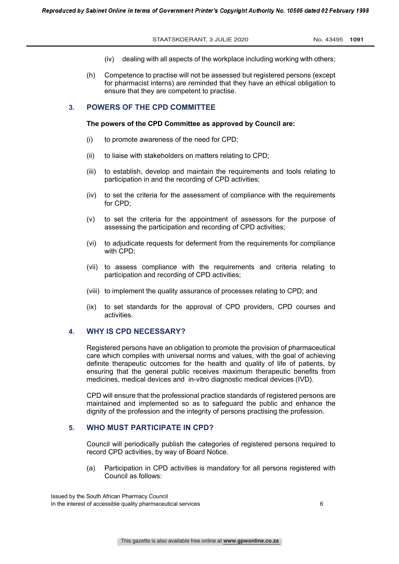- (iv) dealing with all aspects of the workplace including working with others;
- (h) Competence to practise will not be assessed but registered persons (except for pharmacist interns) are reminded that they have an ethical obligation to ensure that they are competent to practise.

# **3. POWERS OF THE CPD COMMITTEE**

#### **The powers of the CPD Committee as approved by Council are:**

- (i) to promote awareness of the need for CPD;
- (ii) to liaise with stakeholders on matters relating to CPD;
- (iii) to establish, develop and maintain the requirements and tools relating to participation in and the recording of CPD activities;
- (iv) to set the criteria for the assessment of compliance with the requirements for CPD;
- (v) to set the criteria for the appointment of assessors for the purpose of assessing the participation and recording of CPD activities;
- (vi) to adjudicate requests for deferment from the requirements for compliance with CPD;
- (vii) to assess compliance with the requirements and criteria relating to participation and recording of CPD activities;
- (viii) to implement the quality assurance of processes relating to CPD; and
- (ix) to set standards for the approval of CPD providers, CPD courses and activities.

### **4. WHY IS CPD NECESSARY?**

Registered persons have an obligation to promote the provision of pharmaceutical care which complies with universal norms and values, with the goal of achieving definite therapeutic outcomes for the health and quality of life of patients, by ensuring that the general public receives maximum therapeutic benefits from medicines, medical devices and in-vitro diagnostic medical devices (IVD).

CPD will ensure that the professional practice standards of registered persons are maintained and implemented so as to safeguard the public and enhance the dignity of the profession and the integrity of persons practising the profession.

# **5. WHO MUST PARTICIPATE IN CPD?**

Council will periodically publish the categories of registered persons required to record CPD activities, by way of Board Notice.

(a) Participation in CPD activities is mandatory for all persons registered with Council as follows: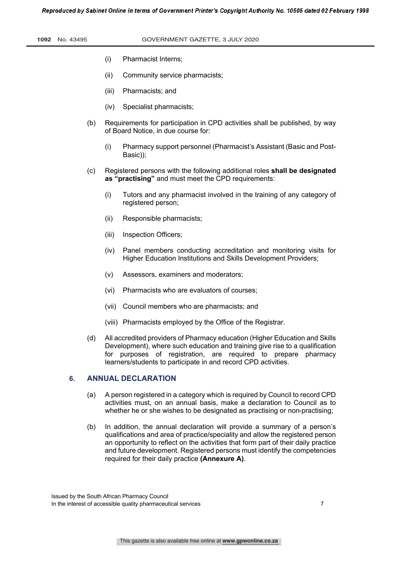|  | 1092 |  | No. 43495 |
|--|------|--|-----------|
|--|------|--|-----------|

- (i) Pharmacist Interns;
- (ii) Community service pharmacists;
- (iii) Pharmacists; and
- (iv) Specialist pharmacists;
- (b) Requirements for participation in CPD activities shall be published, by way of Board Notice, in due course for:
	- (i) Pharmacy support personnel (Pharmacist's Assistant (Basic and Post-Basic));
- (c) Registered persons with the following additional roles **shall be designated as "practising"** and must meet the CPD requirements:
	- (i) Tutors and any pharmacist involved in the training of any category of registered person;
	- (ii) Responsible pharmacists;
	- (iii) Inspection Officers;
	- (iv) Panel members conducting accreditation and monitoring visits for Higher Education Institutions and Skills Development Providers;
	- (v) Assessors, examiners and moderators;
	- (vi) Pharmacists who are evaluators of courses;
	- (vii) Council members who are pharmacists; and
	- (viii) Pharmacists employed by the Office of the Registrar.
- (d) All accredited providers of Pharmacy education (Higher Education and Skills Development), where such education and training give rise to a qualification for purposes of registration, are required to prepare pharmacy learners/students to participate in and record CPD activities.

# **6. ANNUAL DECLARATION**

- (a) A person registered in a category which is required by Council to record CPD activities must, on an annual basis, make a declaration to Council as to whether he or she wishes to be designated as practising or non-practising;
- (b) In addition, the annual declaration will provide a summary of a person's qualifications and area of practice/speciality and allow the registered person an opportunity to reflect on the activities that form part of their daily practice and future development. Registered persons must identify the competencies required for their daily practice **(Annexure A)**.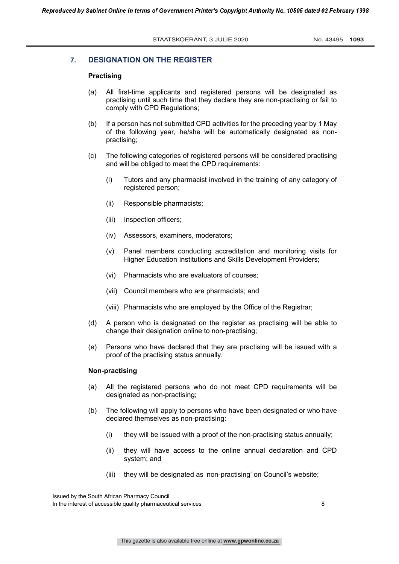#### **7. DESIGNATION ON THE REGISTER**

## **Practising**

- (a) All first-time applicants and registered persons will be designated as practising until such time that they declare they are non-practising or fail to comply with CPD Regulations;
- (b) If a person has not submitted CPD activities for the preceding year by 1 May of the following year, he/she will be automatically designated as nonpractising;
- (c) The following categories of registered persons will be considered practising and will be obliged to meet the CPD requirements:
	- (i) Tutors and any pharmacist involved in the training of any category of registered person;
	- (ii) Responsible pharmacists;
	- (iii) Inspection officers;
	- (iv) Assessors, examiners, moderators;
	- (v) Panel members conducting accreditation and monitoring visits for Higher Education Institutions and Skills Development Providers;
	- (vi) Pharmacists who are evaluators of courses;
	- (vii) Council members who are pharmacists; and
	- (viii) Pharmacists who are employed by the Office of the Registrar;
- (d) A person who is designated on the register as practising will be able to change their designation online to non-practising;
- (e) Persons who have declared that they are practising will be issued with a proof of the practising status annually.

#### **Non-practising**

- (a) All the registered persons who do not meet CPD requirements will be designated as non-practising;
- (b) The following will apply to persons who have been designated or who have declared themselves as non-practising:
	- (i) they will be issued with a proof of the non-practising status annually;
	- (ii) they will have access to the online annual declaration and CPD system; and
	- (iii) they will be designated as 'non-practising' on Council's website;

Issued by the South African Pharmacy Council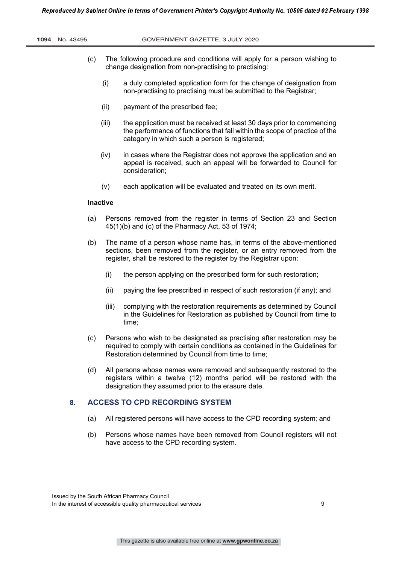- (c) The following procedure and conditions will apply for a person wishing to change designation from non-practising to practising:
	- (i) a duly completed application form for the change of designation from non-practising to practising must be submitted to the Registrar;
	- (ii) payment of the prescribed fee;
	- (iii) the application must be received at least 30 days prior to commencing the performance of functions that fall within the scope of practice of the category in which such a person is registered;
	- (iv) in cases where the Registrar does not approve the application and an appeal is received, such an appeal will be forwarded to Council for consideration;
	- (v) each application will be evaluated and treated on its own merit.

#### **Inactive**

- (a) Persons removed from the register in terms of Section 23 and Section 45(1)(b) and (c) of the Pharmacy Act, 53 of 1974;
- (b) The name of a person whose name has, in terms of the above-mentioned sections, been removed from the register, or an entry removed from the register, shall be restored to the register by the Registrar upon:
	- (i) the person applying on the prescribed form for such restoration;
	- (ii) paying the fee prescribed in respect of such restoration (if any); and
	- (iii) complying with the restoration requirements as determined by Council in the Guidelines for Restoration as published by Council from time to time;
- (c) Persons who wish to be designated as practising after restoration may be required to comply with certain conditions as contained in the Guidelines for Restoration determined by Council from time to time;
- (d) All persons whose names were removed and subsequently restored to the registers within a twelve (12) months period will be restored with the designation they assumed prior to the erasure date.

#### **8. ACCESS TO CPD RECORDING SYSTEM**

- (a) All registered persons will have access to the CPD recording system; and
- (b) Persons whose names have been removed from Council registers will not have access to the CPD recording system.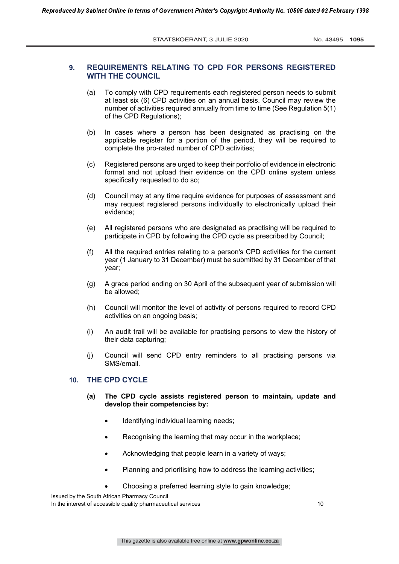# **9. REQUIREMENTS RELATING TO CPD FOR PERSONS REGISTERED WITH THE COUNCIL**

- (a) To comply with CPD requirements each registered person needs to submit at least six (6) CPD activities on an annual basis. Council may review the number of activities required annually from time to time (See Regulation 5(1) of the CPD Regulations);
- (b) In cases where a person has been designated as practising on the applicable register for a portion of the period, they will be required to complete the pro-rated number of CPD activities;
- (c) Registered persons are urged to keep their portfolio of evidence in electronic format and not upload their evidence on the CPD online system unless specifically requested to do so;
- (d) Council may at any time require evidence for purposes of assessment and may request registered persons individually to electronically upload their evidence;
- (e) All registered persons who are designated as practising will be required to participate in CPD by following the CPD cycle as prescribed by Council;
- (f) All the required entries relating to a person's CPD activities for the current year (1 January to 31 December) must be submitted by 31 December of that year;
- (g) A grace period ending on 30 April of the subsequent year of submission will be allowed;
- (h) Council will monitor the level of activity of persons required to record CPD activities on an ongoing basis;
- (i) An audit trail will be available for practising persons to view the history of their data capturing;
- (j) Council will send CPD entry reminders to all practising persons via SMS/email.

# **10. THE CPD CYCLE**

- **(a) The CPD cycle assists registered person to maintain, update and develop their competencies by:** 
	- Identifying individual learning needs;
	- Recognising the learning that may occur in the workplace;
	- Acknowledging that people learn in a variety of ways;
	- Planning and prioritising how to address the learning activities;
	- Choosing a preferred learning style to gain knowledge;

Issued by the South African Pharmacy Council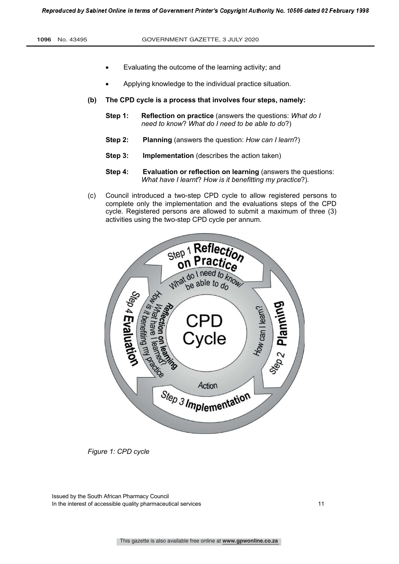- Evaluating the outcome of the learning activity; and
- Applying knowledge to the individual practice situation.
- **(b) The CPD cycle is a process that involves four steps, namely:**
	- **Step 1: Reflection on practice** (answers the questions: *What do I need to know*? *What do I need to be able to do*?)
	- **Step 2: Planning** (answers the question: *How can I learn*?)
	- **Step 3: Implementation** (describes the action taken)
	- **Step 4: Evaluation or reflection on learning** (answers the questions: *What have I learnt*? *How is it benefitting my practice*?).
- (c) Council introduced a two-step CPD cycle to allow registered persons to complete only the implementation and the evaluations steps of the CPD cycle. Registered persons are allowed to submit a maximum of three (3) activities using the two-step CPD cycle per annum.



*Figure 1: CPD cycle*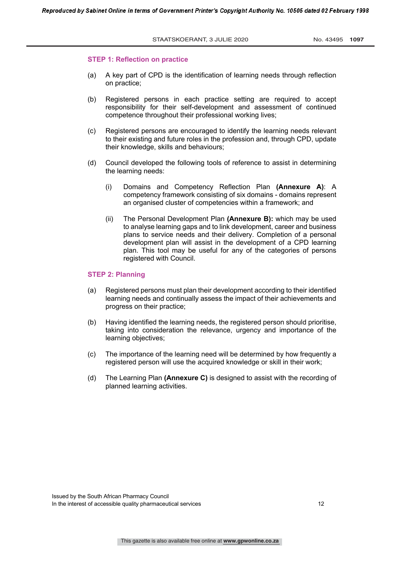#### **STEP 1: Reflection on practice**

- (a) A key part of CPD is the identification of learning needs through reflection on practice;
- (b) Registered persons in each practice setting are required to accept responsibility for their self-development and assessment of continued competence throughout their professional working lives;
- (c) Registered persons are encouraged to identify the learning needs relevant to their existing and future roles in the profession and, through CPD, update their knowledge, skills and behaviours;
- (d) Council developed the following tools of reference to assist in determining the learning needs:
	- (i) Domains and Competency Reflection Plan **(Annexure A)**: A competency framework consisting of six domains - domains represent an organised cluster of competencies within a framework; and
	- (ii) The Personal Development Plan **(Annexure B):** which may be used to analyse learning gaps and to link development, career and business plans to service needs and their delivery. Completion of a personal development plan will assist in the development of a CPD learning plan. This tool may be useful for any of the categories of persons registered with Council.

#### **STEP 2: Planning**

- (a) Registered persons must plan their development according to their identified learning needs and continually assess the impact of their achievements and progress on their practice;
- (b) Having identified the learning needs, the registered person should prioritise, taking into consideration the relevance, urgency and importance of the learning objectives;
- (c) The importance of the learning need will be determined by how frequently a registered person will use the acquired knowledge or skill in their work;
- (d) The Learning Plan **(Annexure C)** is designed to assist with the recording of planned learning activities.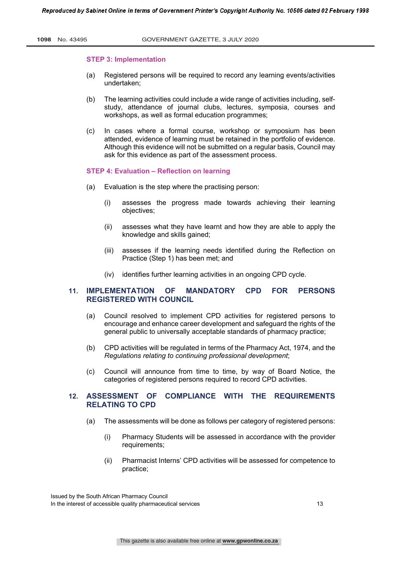#### **STEP 3: Implementation**

- (a) Registered persons will be required to record any learning events/activities undertaken;
- (b) The learning activities could include a wide range of activities including, selfstudy, attendance of journal clubs, lectures, symposia, courses and workshops, as well as formal education programmes;
- (c) In cases where a formal course, workshop or symposium has been attended, evidence of learning must be retained in the portfolio of evidence. Although this evidence will not be submitted on a regular basis, Council may ask for this evidence as part of the assessment process.

#### **STEP 4: Evaluation – Reflection on learning**

- (a) Evaluation is the step where the practising person:
	- (i) assesses the progress made towards achieving their learning objectives;
	- (ii) assesses what they have learnt and how they are able to apply the knowledge and skills gained;
	- (iii) assesses if the learning needs identified during the Reflection on Practice (Step 1) has been met; and
	- (iv) identifies further learning activities in an ongoing CPD cycle.

# **11. IMPLEMENTATION OF MANDATORY CPD FOR PERSONS REGISTERED WITH COUNCIL**

- (a) Council resolved to implement CPD activities for registered persons to encourage and enhance career development and safeguard the rights of the general public to universally acceptable standards of pharmacy practice;
- (b) CPD activities will be regulated in terms of the Pharmacy Act, 1974, and the *Regulations relating to continuing professional development*;
- (c) Council will announce from time to time, by way of Board Notice, the categories of registered persons required to record CPD activities.

# **12. ASSESSMENT OF COMPLIANCE WITH THE REQUIREMENTS RELATING TO CPD**

- (a) The assessments will be done as follows per category of registered persons:
	- (i) Pharmacy Students will be assessed in accordance with the provider requirements;
	- (ii) Pharmacist Interns' CPD activities will be assessed for competence to practice;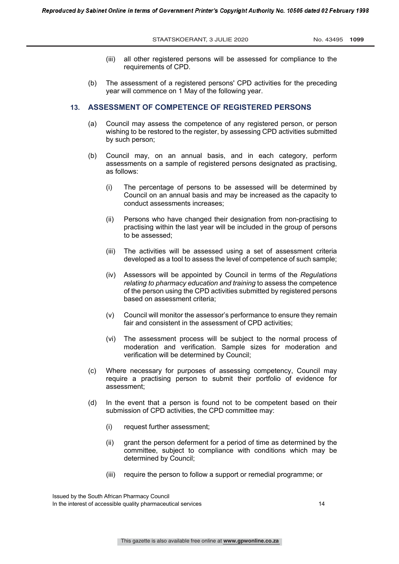- (iii) all other registered persons will be assessed for compliance to the requirements of CPD.
- (b) The assessment of a registered persons' CPD activities for the preceding year will commence on 1 May of the following year.

## **13. ASSESSMENT OF COMPETENCE OF REGISTERED PERSONS**

- (a) Council may assess the competence of any registered person, or person wishing to be restored to the register, by assessing CPD activities submitted by such person;
- (b) Council may, on an annual basis, and in each category, perform assessments on a sample of registered persons designated as practising, as follows:
	- (i) The percentage of persons to be assessed will be determined by Council on an annual basis and may be increased as the capacity to conduct assessments increases;
	- (ii) Persons who have changed their designation from non-practising to practising within the last year will be included in the group of persons to be assessed;
	- (iii) The activities will be assessed using a set of assessment criteria developed as a tool to assess the level of competence of such sample;
	- (iv) Assessors will be appointed by Council in terms of the *Regulations relating to pharmacy education and training* to assess the competence of the person using the CPD activities submitted by registered persons based on assessment criteria;
	- (v) Council will monitor the assessor's performance to ensure they remain fair and consistent in the assessment of CPD activities;
	- (vi) The assessment process will be subject to the normal process of moderation and verification. Sample sizes for moderation and verification will be determined by Council;
- (c) Where necessary for purposes of assessing competency, Council may require a practising person to submit their portfolio of evidence for assessment;
- (d) In the event that a person is found not to be competent based on their submission of CPD activities, the CPD committee may:
	- (i) request further assessment;
	- (ii) grant the person deferment for a period of time as determined by the committee, subject to compliance with conditions which may be determined by Council;
	- (iii) require the person to follow a support or remedial programme; or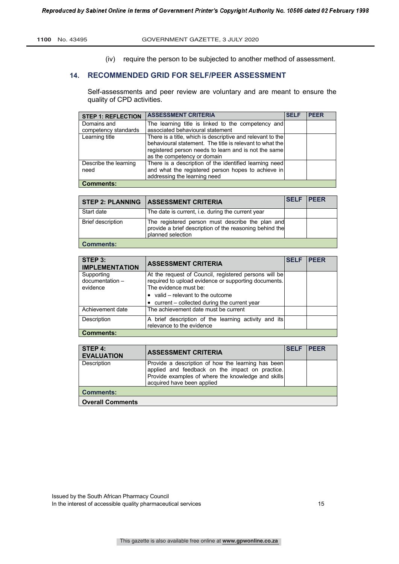(iv) require the person to be subjected to another method of assessment.

# **14. RECOMMENDED GRID FOR SELF/PEER ASSESSMENT**

Self-assessments and peer review are voluntary and are meant to ensure the quality of CPD activities.

| <b>STEP 1: REFLECTION</b>     | <b>ASSESSMENT CRITERIA</b>                                                                                                                                                                                    | <b>SELF</b> | <b>PEER</b> |
|-------------------------------|---------------------------------------------------------------------------------------------------------------------------------------------------------------------------------------------------------------|-------------|-------------|
| Domains and                   | The learning title is linked to the competency and                                                                                                                                                            |             |             |
| competency standards          | associated behavioural statement                                                                                                                                                                              |             |             |
| Learning title                | There is a title, which is descriptive and relevant to the<br>behavioural statement. The title is relevant to what the<br>registered person needs to learn and is not the same<br>as the competency or domain |             |             |
| Describe the learning<br>need | There is a description of the identified learning need<br>and what the registered person hopes to achieve in<br>addressing the learning need                                                                  |             |             |
| <b>Comments:</b>              |                                                                                                                                                                                                               |             |             |

| <b>STEP 2: PLANNING</b>  | <b>ASSESSMENT CRITERIA</b>                                                                                                       | <b>SELF IPEER</b> |  |
|--------------------------|----------------------------------------------------------------------------------------------------------------------------------|-------------------|--|
| Start date               | The date is current, i.e. during the current year                                                                                |                   |  |
| <b>Brief description</b> | The registered person must describe the plan and<br>provide a brief description of the reasoning behind the<br>planned selection |                   |  |
| <b>Comments:</b>         |                                                                                                                                  |                   |  |

| STEP 3:<br><b>IMPLEMENTATION</b>          | <b>ASSESSMENT CRITERIA</b>                                                                                                             | <b>SELF</b> | <b>PEER</b> |
|-------------------------------------------|----------------------------------------------------------------------------------------------------------------------------------------|-------------|-------------|
| Supporting<br>documentation -<br>evidence | At the request of Council, registered persons will be<br>required to upload evidence or supporting documents.<br>The evidence must be: |             |             |
|                                           | $\bullet$ valid – relevant to the outcome                                                                                              |             |             |
|                                           | $\bullet$ current – collected during the current year                                                                                  |             |             |
| Achievement date                          | The achievement date must be current                                                                                                   |             |             |
| Description                               | A brief description of the learning activity and its<br>relevance to the evidence                                                      |             |             |
| <b>Comments:</b>                          |                                                                                                                                        |             |             |

| STEP 4:<br><b>EVALUATION</b> | <b>ASSESSMENT CRITERIA</b>                                                                                                                                                                | <b>SELF</b> | <b>IPFFR</b> |
|------------------------------|-------------------------------------------------------------------------------------------------------------------------------------------------------------------------------------------|-------------|--------------|
| Description                  | Provide a description of how the learning has been<br>applied and feedback on the impact on practice.<br>Provide examples of where the knowledge and skills<br>acquired have been applied |             |              |
| <b>Comments:</b>             |                                                                                                                                                                                           |             |              |
| <b>Overall Comments</b>      |                                                                                                                                                                                           |             |              |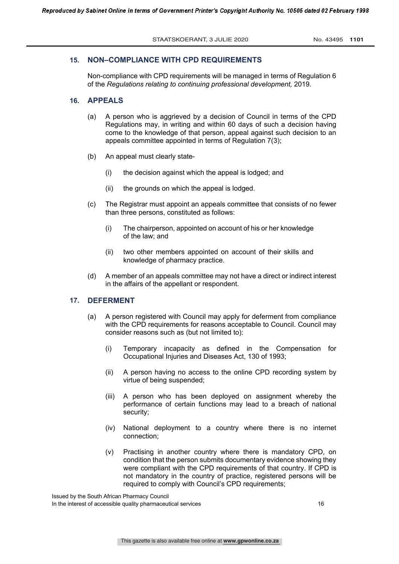# **15. NON–COMPLIANCE WITH CPD REQUIREMENTS**

Non-compliance with CPD requirements will be managed in terms of Regulation 6 of the *Regulations relating to continuing professional development,* 2019*.*

### **16. APPEALS**

- (a) A person who is aggrieved by a decision of Council in terms of the CPD Regulations may, in writing and within 60 days of such a decision having come to the knowledge of that person, appeal against such decision to an appeals committee appointed in terms of Regulation 7(3);
- (b) An appeal must clearly state-
	- (i) the decision against which the appeal is lodged; and
	- (ii) the grounds on which the appeal is lodged.
- (c) The Registrar must appoint an appeals committee that consists of no fewer than three persons, constituted as follows:
	- (i) The chairperson, appointed on account of his or her knowledge of the law; and
	- (ii) two other members appointed on account of their skills and knowledge of pharmacy practice.
- (d) A member of an appeals committee may not have a direct or indirect interest in the affairs of the appellant or respondent.

# **17. DEFERMENT**

- (a) A person registered with Council may apply for deferment from compliance with the CPD requirements for reasons acceptable to Council. Council may consider reasons such as (but not limited to):
	- (i) Temporary incapacity as defined in the Compensation for Occupational Injuries and Diseases Act, 130 of 1993;
	- (ii) A person having no access to the online CPD recording system by virtue of being suspended;
	- (iii) A person who has been deployed on assignment whereby the performance of certain functions may lead to a breach of national security;
	- (iv) National deployment to a country where there is no internet connection;
	- (v) Practising in another country where there is mandatory CPD, on condition that the person submits documentary evidence showing they were compliant with the CPD requirements of that country. If CPD is not mandatory in the country of practice, registered persons will be required to comply with Council's CPD requirements;

Issued by the South African Pharmacy Council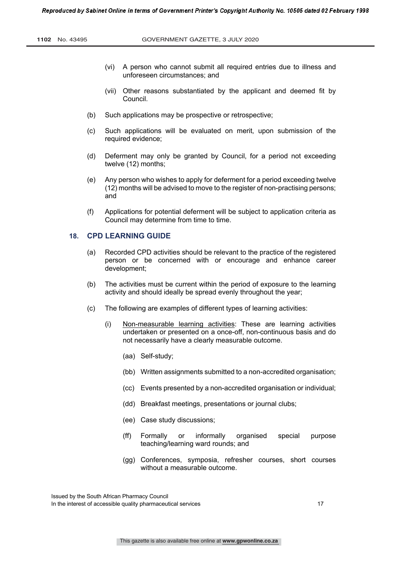- (vi) A person who cannot submit all required entries due to illness and unforeseen circumstances; and
- (vii) Other reasons substantiated by the applicant and deemed fit by Council.
- (b) Such applications may be prospective or retrospective;
- (c) Such applications will be evaluated on merit, upon submission of the required evidence;
- (d) Deferment may only be granted by Council, for a period not exceeding twelve (12) months;
- (e) Any person who wishes to apply for deferment for a period exceeding twelve (12) months will be advised to move to the register of non-practising persons; and
- (f) Applications for potential deferment will be subject to application criteria as Council may determine from time to time.

### **18. CPD LEARNING GUIDE**

- (a) Recorded CPD activities should be relevant to the practice of the registered person or be concerned with or encourage and enhance career development;
- (b) The activities must be current within the period of exposure to the learning activity and should ideally be spread evenly throughout the year;
- (c) The following are examples of different types of learning activities:
	- (i) Non-measurable learning activities: These are learning activities undertaken or presented on a once-off, non-continuous basis and do not necessarily have a clearly measurable outcome.
		- (aa) Self-study;
		- (bb) Written assignments submitted to a non-accredited organisation;
		- (cc) Events presented by a non-accredited organisation or individual;
		- (dd) Breakfast meetings, presentations or journal clubs;
		- (ee) Case study discussions;
		- (ff) Formally or informally organised special purpose teaching/learning ward rounds; and
		- (gg) Conferences, symposia, refresher courses, short courses without a measurable outcome.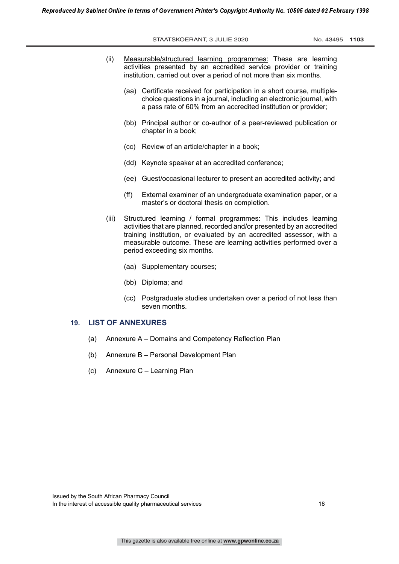STAATSKOERANT, 3 JULIE 2020 No. 43495 1103

- (ii) Measurable/structured learning programmes: These are learning activities presented by an accredited service provider or training institution, carried out over a period of not more than six months.
	- (aa) Certificate received for participation in a short course, multiplechoice questions in a journal, including an electronic journal, with a pass rate of 60% from an accredited institution or provider;
	- (bb) Principal author or co-author of a peer-reviewed publication or chapter in a book;
	- (cc) Review of an article/chapter in a book;
	- (dd) Keynote speaker at an accredited conference;
	- (ee) Guest/occasional lecturer to present an accredited activity; and
	- (ff) External examiner of an undergraduate examination paper, or a master's or doctoral thesis on completion.
- (iii) Structured learning / formal programmes: This includes learning activities that are planned, recorded and/or presented by an accredited training institution, or evaluated by an accredited assessor, with a measurable outcome. These are learning activities performed over a period exceeding six months.
	- (aa) Supplementary courses;
	- (bb) Diploma; and
	- (cc) Postgraduate studies undertaken over a period of not less than seven months.

# **19. LIST OF ANNEXURES**

- (a) Annexure A Domains and Competency Reflection Plan
- (b) Annexure B Personal Development Plan
- (c) Annexure C Learning Plan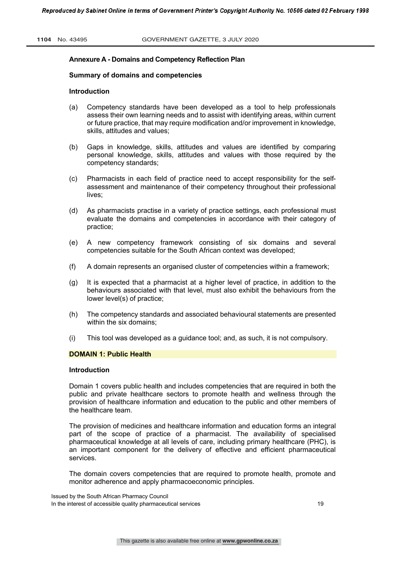#### **Annexure A - Domains and Competency Reflection Plan**

#### **Summary of domains and competencies**

#### **Introduction**

- (a) Competency standards have been developed as a tool to help professionals assess their own learning needs and to assist with identifying areas, within current or future practice, that may require modification and/or improvement in knowledge, skills, attitudes and values;
- (b) Gaps in knowledge, skills, attitudes and values are identified by comparing personal knowledge, skills, attitudes and values with those required by the competency standards;
- (c) Pharmacists in each field of practice need to accept responsibility for the selfassessment and maintenance of their competency throughout their professional lives;
- (d) As pharmacists practise in a variety of practice settings, each professional must evaluate the domains and competencies in accordance with their category of practice;
- (e) A new competency framework consisting of six domains and several competencies suitable for the South African context was developed;
- (f) A domain represents an organised cluster of competencies within a framework;
- (g) It is expected that a pharmacist at a higher level of practice, in addition to the behaviours associated with that level, must also exhibit the behaviours from the lower level(s) of practice;
- (h) The competency standards and associated behavioural statements are presented within the six domains;
- (i) This tool was developed as a guidance tool; and, as such, it is not compulsory.

### **DOMAIN 1: Public Health**

#### **Introduction**

Domain 1 covers public health and includes competencies that are required in both the public and private healthcare sectors to promote health and wellness through the provision of healthcare information and education to the public and other members of the healthcare team.

The provision of medicines and healthcare information and education forms an integral part of the scope of practice of a pharmacist. The availability of specialised pharmaceutical knowledge at all levels of care, including primary healthcare (PHC), is an important component for the delivery of effective and efficient pharmaceutical services.

The domain covers competencies that are required to promote health, promote and monitor adherence and apply pharmacoeconomic principles.

Issued by the South African Pharmacy Council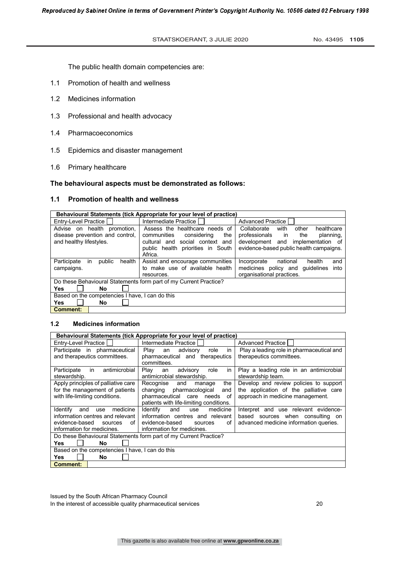The public health domain competencies are:

- 1.1 Promotion of health and wellness
- 1.2 Medicines information
- 1.3 Professional and health advocacy
- 1.4 Pharmacoeconomics
- 1.5 Epidemics and disaster management
- 1.6 Primary healthcare

#### **The behavioural aspects must be demonstrated as follows:**

# **1.1 Promotion of health and wellness**

| Behavioural Statements (tick Appropriate for your level of practice) |                                                                   |                                            |  |  |  |
|----------------------------------------------------------------------|-------------------------------------------------------------------|--------------------------------------------|--|--|--|
| Entry-Level Practice                                                 | Intermediate Practice I                                           | <b>Advanced Practice</b>                   |  |  |  |
| Advise on health promotion,                                          | Assess the healthcare needs of                                    | with<br>healthcare<br>Collaborate<br>other |  |  |  |
| disease prevention and control.                                      | communities<br>the<br>considering                                 | professionals in<br>the<br>planning.       |  |  |  |
| and healthy lifestyles.                                              | social context and<br>cultural and                                | development and implementation of          |  |  |  |
|                                                                      | public health priorities in South                                 | evidence-based public health campaigns.    |  |  |  |
|                                                                      | Africa.                                                           |                                            |  |  |  |
| Participate<br>health<br>public<br>in.                               | Assist and encourage communities                                  | national<br>Incorporate<br>health<br>and   |  |  |  |
| campaigns.                                                           | to make use of available health                                   | medicines policy and quidelines<br>into    |  |  |  |
|                                                                      | resources.                                                        | organisational practices.                  |  |  |  |
|                                                                      | Do these Behavioural Statements form part of my Current Practice? |                                            |  |  |  |
| Yes<br>No                                                            |                                                                   |                                            |  |  |  |
| Based on the competencies I have, I can do this                      |                                                                   |                                            |  |  |  |
| Yes<br>No                                                            |                                                                   |                                            |  |  |  |
| <b>Comment:</b>                                                      |                                                                   |                                            |  |  |  |

# **1.2 Medicines information**

| Behavioural Statements (tick Appropriate for your level of practice) |                                         |                                           |  |  |
|----------------------------------------------------------------------|-----------------------------------------|-------------------------------------------|--|--|
| Entry-Level Practice                                                 | Intermediate Practice I                 | Advanced Practice                         |  |  |
| Participate in pharmaceutical                                        | advisory<br>Play<br>role<br>an<br>in    | Play a leading role in pharmaceutical and |  |  |
| and therapeutics committees.                                         | pharmaceutical and therapeutics         | therapeutics committees.                  |  |  |
|                                                                      | committees.                             |                                           |  |  |
| antimicrobial<br>Participate<br>in                                   | in<br>Play<br>advisory<br>role<br>an    | Play a leading role in an antimicrobial   |  |  |
| stewardship.                                                         | antimicrobial stewardship.              | stewardship team.                         |  |  |
| Apply principles of palliative care                                  | Recognise<br>and<br>the<br>manage       | Develop and review policies to support    |  |  |
| for the management of patients                                       | changing pharmacological<br>and         | the application of the palliative care    |  |  |
| with life-limiting conditions.                                       | pharmaceutical care needs<br>of         | approach in medicine management.          |  |  |
|                                                                      | patients with life-limiting conditions. |                                           |  |  |
| medicine<br><b>Identify</b><br>and<br>use                            | Identify<br>medicine<br>and<br>use      | Interpret and use relevant evidence-      |  |  |
| information centres and relevant                                     | information centres and relevant        | based sources when consulting<br>on.      |  |  |
| evidence-based<br>of l<br>sources                                    | evidence-based<br>οf<br>sources         | advanced medicine information queries.    |  |  |
| information for medicines.                                           | information for medicines.              |                                           |  |  |
| Do these Behavioural Statements form part of my Current Practice?    |                                         |                                           |  |  |
| Yes<br>No                                                            |                                         |                                           |  |  |
| Based on the competencies I have, I can do this                      |                                         |                                           |  |  |
| Yes<br><b>No</b>                                                     |                                         |                                           |  |  |
| <b>Comment:</b>                                                      |                                         |                                           |  |  |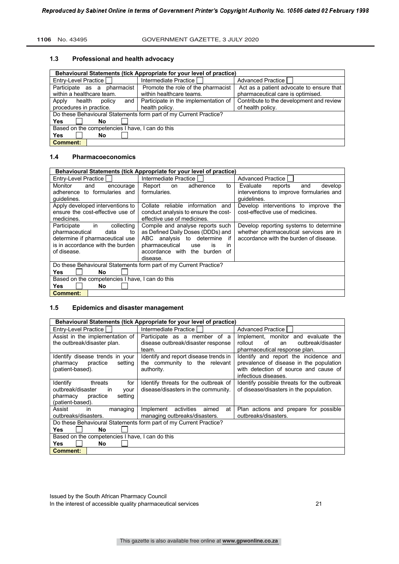#### **1106** No. 43495 GOVERNMENT GAZETTE, 3 JULY 2020

#### **1.3 Professional and health advocacy**

| Behavioural Statements (tick Appropriate for your level of practice) |                                                                |                                                                               |  |  |
|----------------------------------------------------------------------|----------------------------------------------------------------|-------------------------------------------------------------------------------|--|--|
| Entry-Level Practice                                                 | Intermediate Practice                                          | Advanced Practice                                                             |  |  |
| Participate as a<br>pharmacist<br>within a healthcare team.          | Promote the role of the pharmacist<br>within healthcare teams. | Act as a patient advocate to ensure that<br>pharmaceutical care is optimised. |  |  |
| Apply<br>and<br>health<br>policy                                     | Participate in the implementation of                           | Contribute to the development and review                                      |  |  |
| procedures in practice.                                              | health policy.                                                 | of health policy.                                                             |  |  |
| Do these Behavioural Statements form part of my Current Practice?    |                                                                |                                                                               |  |  |
| Yes<br>No                                                            |                                                                |                                                                               |  |  |
| Based on the competencies I have, I can do this                      |                                                                |                                                                               |  |  |
| Yes<br>No                                                            |                                                                |                                                                               |  |  |
| <b>Comment:</b>                                                      |                                                                |                                                                               |  |  |

# **1.4 Pharmacoeconomics**

| Behavioural Statements (tick Appropriate for your level of practice) |                                           |                                          |  |  |
|----------------------------------------------------------------------|-------------------------------------------|------------------------------------------|--|--|
| Entry-Level Practice                                                 | Intermediate Practice                     | <b>Advanced Practice</b>                 |  |  |
| Monitor<br>and<br>encourage                                          | Report<br>adherence<br>to<br>on           | Evaluate<br>develop<br>reports<br>and    |  |  |
| adherence to formularies and                                         | formularies.                              | interventions to improve formularies and |  |  |
| quidelines.                                                          |                                           | quidelines.                              |  |  |
| Apply developed interventions to                                     | Collate<br>information<br>reliable<br>and | Develop interventions to improve<br>the  |  |  |
| ensure the cost-effective use of                                     | conduct analysis to ensure the cost-      | cost-effective use of medicines.         |  |  |
| medicines.                                                           | effective use of medicines.               |                                          |  |  |
| in<br>Participate<br>collecting                                      | Compile and analyse reports such          | Develop reporting systems to determine   |  |  |
| pharmaceutical<br>data<br>to                                         | as Defined Daily Doses (DDDs) and         | whether pharmaceutical services are in   |  |  |
| determine if pharmaceutical use                                      | ABC analysis to determine<br>if           | accordance with the burden of disease.   |  |  |
| is in accordance with the burden                                     | pharmaceutical<br>is<br>use<br>in         |                                          |  |  |
| of disease.                                                          | accordance with the burden<br>of          |                                          |  |  |
|                                                                      | disease.                                  |                                          |  |  |
| Do these Behavioural Statements form part of my Current Practice?    |                                           |                                          |  |  |
| Yes<br><b>No</b>                                                     |                                           |                                          |  |  |
| Based on the competencies I have, I can do this                      |                                           |                                          |  |  |
| Yes<br><b>No</b>                                                     |                                           |                                          |  |  |
| <b>Comment:</b>                                                      |                                           |                                          |  |  |

# **1.5 Epidemics and disaster management**

| Behavioural Statements (tick Appropriate for your level of practice) |                                        |                                            |  |  |
|----------------------------------------------------------------------|----------------------------------------|--------------------------------------------|--|--|
| Entry-Level Practice                                                 | Intermediate Practice I                | Advanced Practice                          |  |  |
| Assist in the implementation of                                      | Participate as a member of a           | Implement, monitor and evaluate the        |  |  |
| the outbreak/disaster plan.                                          | disease outbreak/disaster response     | rollout<br>of<br>outbreak/disaster<br>an   |  |  |
|                                                                      | team.                                  | pharmaceutical response plan.              |  |  |
| Identify disease trends in your                                      | Identify and report disease trends in  | Identify and report the incidence and      |  |  |
| practice<br>setting<br>pharmacy                                      | the community to the relevant          | prevalence of disease in the population    |  |  |
| (patient-based).                                                     | authority.                             | with detection of source and cause of      |  |  |
|                                                                      |                                        | infectious diseases.                       |  |  |
| Identify<br>threats<br>for                                           | Identify threats for the outbreak of   | Identify possible threats for the outbreak |  |  |
| outbreak/disaster<br><i>in</i><br>your                               | disease/disasters in the community.    | of disease/disasters in the population.    |  |  |
| practice<br>setting<br>pharmacy                                      |                                        |                                            |  |  |
| (patient-based).                                                     |                                        |                                            |  |  |
| Assist<br>in<br>managing                                             | Implement<br>activities<br>at<br>aimed | Plan actions and prepare for possible      |  |  |
| outbreaks/disasters.                                                 | managing outbreaks/disasters.          | outbreaks/disasters.                       |  |  |
| Do these Behavioural Statements form part of my Current Practice?    |                                        |                                            |  |  |
| <b>Yes</b><br>No                                                     |                                        |                                            |  |  |
| Based on the competencies I have, I can do this                      |                                        |                                            |  |  |
| <b>Yes</b><br><b>No</b>                                              |                                        |                                            |  |  |
| <b>Comment:</b>                                                      |                                        |                                            |  |  |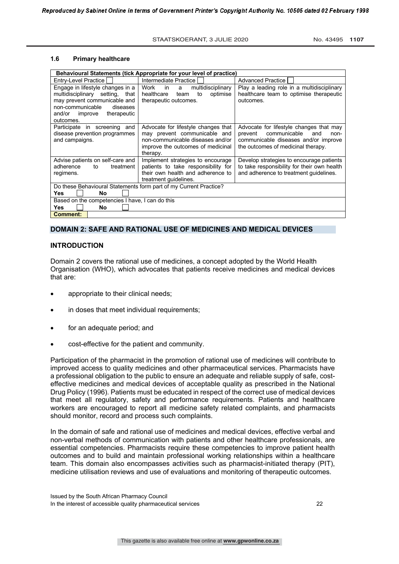# **1.6 Primary healthcare**

|                                                                                                                                                                                         | Behavioural Statements (tick Appropriate for your level of practice)                                                                                     |                                                                                                                                                                 |  |  |  |
|-----------------------------------------------------------------------------------------------------------------------------------------------------------------------------------------|----------------------------------------------------------------------------------------------------------------------------------------------------------|-----------------------------------------------------------------------------------------------------------------------------------------------------------------|--|--|--|
| Entry-Level Practice                                                                                                                                                                    | Intermediate Practice                                                                                                                                    | <b>Advanced Practice  </b>                                                                                                                                      |  |  |  |
| Engage in lifestyle changes in a<br>multidisciplinary setting,<br>that<br>may prevent communicable and<br>non-communicable<br>diseases<br>therapeutic<br>and/or<br>improve<br>outcomes. | $\overline{\phantom{a}}$ in<br>Work<br>multidisciplinary<br>a<br>healthcare<br>to<br>optimise<br>team<br>therapeutic outcomes.                           | Play a leading role in a multidisciplinary<br>healthcare team to optimise therapeutic<br>outcomes.                                                              |  |  |  |
| Participate in screening and<br>disease prevention programmes<br>and campaigns.                                                                                                         | Advocate for lifestyle changes that<br>may prevent communicable and<br>non-communicable diseases and/or<br>improve the outcomes of medicinal<br>therapy. | Advocate for lifestyle changes that may<br>communicable<br>prevent<br>and<br>non-<br>communicable diseases and/or improve<br>the outcomes of medicinal therapy. |  |  |  |
| Advise patients on self-care and<br>adherence<br>treatment<br>to<br>regimens.                                                                                                           | Implement strategies to encourage<br>patients to take responsibility for<br>their own health and adherence to<br>treatment guidelines.                   | Develop strategies to encourage patients<br>to take responsibility for their own health<br>and adherence to treatment quidelines.                               |  |  |  |
|                                                                                                                                                                                         | Do these Behavioural Statements form part of my Current Practice?                                                                                        |                                                                                                                                                                 |  |  |  |
| <b>Yes</b><br>No                                                                                                                                                                        |                                                                                                                                                          |                                                                                                                                                                 |  |  |  |
| Based on the competencies I have, I can do this                                                                                                                                         |                                                                                                                                                          |                                                                                                                                                                 |  |  |  |
| <b>Yes</b><br>No                                                                                                                                                                        |                                                                                                                                                          |                                                                                                                                                                 |  |  |  |
| <b>Comment:</b>                                                                                                                                                                         |                                                                                                                                                          |                                                                                                                                                                 |  |  |  |

#### **DOMAIN 2: SAFE AND RATIONAL USE OF MEDICINES AND MEDICAL DEVICES**

### **INTRODUCTION**

Domain 2 covers the rational use of medicines, a concept adopted by the World Health Organisation (WHO), which advocates that patients receive medicines and medical devices that are:

- appropriate to their clinical needs;
- in doses that meet individual requirements;
- for an adequate period; and
- cost-effective for the patient and community.

Participation of the pharmacist in the promotion of rational use of medicines will contribute to improved access to quality medicines and other pharmaceutical services. Pharmacists have a professional obligation to the public to ensure an adequate and reliable supply of safe, costeffective medicines and medical devices of acceptable quality as prescribed in the National Drug Policy (1996). Patients must be educated in respect of the correct use of medical devices that meet all regulatory, safety and performance requirements. Patients and healthcare workers are encouraged to report all medicine safety related complaints, and pharmacists should monitor, record and process such complaints.

In the domain of safe and rational use of medicines and medical devices, effective verbal and non-verbal methods of communication with patients and other healthcare professionals, are essential competencies. Pharmacists require these competencies to improve patient health outcomes and to build and maintain professional working relationships within a healthcare team. This domain also encompasses activities such as pharmacist-initiated therapy (PIT), medicine utilisation reviews and use of evaluations and monitoring of therapeutic outcomes.

Issued by the South African Pharmacy Council In the interest of accessible quality pharmaceutical services 22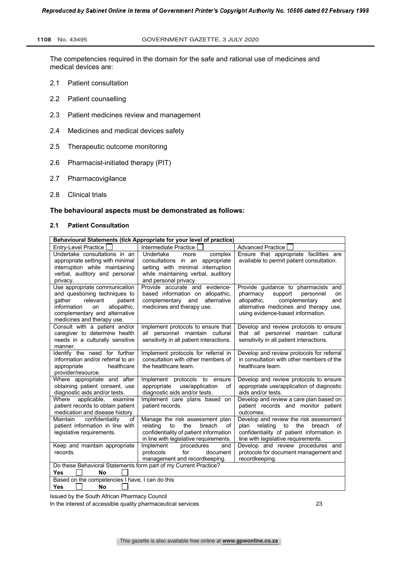The competencies required in the domain for the safe and rational use of medicines and medical devices are:

- 2.1 Patient consultation
- 2.2 Patient counselling
- 2.3 Patient medicines review and management
- 2.4 Medicines and medical devices safety
- 2.5 Therapeutic outcome monitoring
- 2.6 Pharmacist-initiated therapy (PIT)
- 2.7 Pharmacovigilance
- 2.8 Clinical trials

### **The behavioural aspects must be demonstrated as follows:**

# **2.1 Patient Consultation**

| Behavioural Statements (tick Appropriate for your level of practice)                        |                                          |                                               |
|---------------------------------------------------------------------------------------------|------------------------------------------|-----------------------------------------------|
| Entry-Level Practice                                                                        | Intermediate Practice                    | <b>Advanced Practice</b>                      |
| Undertake consultations in an                                                               | Undertake<br>complex<br>more             | Ensure that appropriate facilities are        |
| appropriate setting with minimal                                                            | consultations in an appropriate          | available to permit patient consultation.     |
| interruption while maintaining                                                              | setting with minimal interruption        |                                               |
| verbal, auditory and personal                                                               | while maintaining verbal, auditory       |                                               |
| privacy.                                                                                    | and personal privacy.                    |                                               |
| Use appropriate communication                                                               | Provide accurate and evidence-           | Provide guidance to pharmacists and           |
| and questioning techniques to                                                               | based information on allopathic,         | pharmacy<br>support<br>personnel<br><b>on</b> |
| relevant<br>patient<br>qather                                                               | alternative<br>complementary and         | complementary<br>allopathic,<br>and           |
| allopathic,<br>information<br>on                                                            | medicines and therapy use.               | alternative medicines and therapy use,        |
| complementary and alternative                                                               |                                          | using evidence-based information.             |
| medicines and therapy use.<br>Consult with a patient and/or                                 | Implement protocols to ensure that       | Develop and review protocols to ensure        |
| caregiver to determine health                                                               | personnel maintain cultural<br>all       | that all personnel maintain cultural          |
| needs in a culturally sensitive                                                             | sensitivity in all patient interactions. | sensitivity in all patient interactions.      |
| manner.                                                                                     |                                          |                                               |
| Identify the need for further                                                               | Implement protocols for referral in      | Develop and review protocols for referral     |
| information and/or referral to an                                                           | consultation with other members of       | in consultation with other members of the     |
| appropriate<br>healthcare                                                                   | the healthcare team.                     | healthcare team.                              |
| provider/resource.                                                                          |                                          |                                               |
| Where appropriate and after                                                                 | Implement protocols to ensure            | Develop and review protocols to ensure        |
| obtaining patient consent, use                                                              | appropriate<br>use/application<br>of     | appropriate use/application of diagnostic     |
| diagnostic aids and/or tests.                                                               | diagnostic aids and/or tests.            | aids and/or tests.                            |
| Where<br>applicable.<br>examine                                                             | Implement care plans based on            | Develop and review a care plan based on       |
| patient records to obtain patient                                                           | patient records.                         | patient records and monitor patient           |
| medication and disease history.                                                             |                                          | outcomes.                                     |
| confidentiality<br>Maintain<br>of                                                           | Manage the risk assessment plan          | Develop and review the risk assessment        |
| patient information in line with                                                            | relating<br>to<br>the<br>breach<br>of    | relating to<br>the<br>breach<br>plan<br>of    |
| legislative requirements.                                                                   | confidentiality of patient information   | confidentiality of patient information in     |
|                                                                                             | in line with legislative requirements.   | line with legislative requirements.           |
| Keep and maintain appropriate                                                               | Implement<br>procedures<br>and           | Develop and review procedures and             |
| records.                                                                                    | protocols<br>for<br>document             | protocols for document management and         |
|                                                                                             | management and recordkeeping.            | recordkeeping.                                |
| Do these Behavioral Statements form part of my Current Practice?<br><b>No</b><br><b>Yes</b> |                                          |                                               |
| Based on the competencies I have, I can do this                                             |                                          |                                               |
|                                                                                             |                                          |                                               |
| Yes<br>No                                                                                   |                                          |                                               |

Issued by the South African Pharmacy Council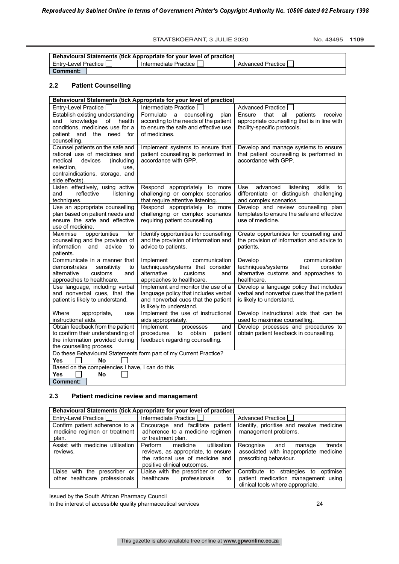STAATSKOERANT, 3 JULIE 2020 No. 43495 1109

| <b>Behavioural Statements (tick Appropriate for your level of practice)</b> |                       |                     |  |
|-----------------------------------------------------------------------------|-----------------------|---------------------|--|
| <b>Entry-Level Practice I</b>                                               | lntermediate Practice | Advanced Practice I |  |
| ∣ Comment:                                                                  |                       |                     |  |

# **2.2 Patient Counselling**

| Behavioural Statements (tick Appropriate for your level of practice)                                                                                                              |                                                                                                                                               |                                                                                                                              |
|-----------------------------------------------------------------------------------------------------------------------------------------------------------------------------------|-----------------------------------------------------------------------------------------------------------------------------------------------|------------------------------------------------------------------------------------------------------------------------------|
| Entry-Level Practice                                                                                                                                                              | Intermediate Practice                                                                                                                         | <b>Advanced Practice</b>                                                                                                     |
| Establish existing understanding<br>knowledge<br>of health<br>and<br>conditions, medicines use for a<br>patient and the need<br>for<br>counselling.                               | Formulate a counselling<br>plan<br>according to the needs of the patient<br>to ensure the safe and effective use<br>of medicines.             | receive<br>Ensure<br>that<br>all<br>patients<br>appropriate counselling that is in line with<br>facility-specific protocols. |
| Counsel patients on the safe and<br>rational use of medicines and<br>medical<br>devices<br>(including)<br>selection,<br>use,<br>contraindications, storage, and<br>side effects). | Implement systems to ensure that<br>patient counselling is performed in<br>accordance with GPP.                                               | Develop and manage systems to ensure<br>that patient counselling is performed in<br>accordance with GPP.                     |
| Listen effectively, using active<br>reflective<br>and<br>listening<br>techniques.                                                                                                 | Respond appropriately to more<br>challenging or complex scenarios<br>that require attentive listening.                                        | skills<br>Use<br>advanced<br>listening<br>to<br>differentiate or distinguish challenging<br>and complex scenarios.           |
| Use an appropriate counselling<br>plan based on patient needs and<br>ensure the safe and effective<br>use of medicine.                                                            | Respond appropriately to more<br>challenging or complex scenarios<br>requiring patient counselling.                                           | Develop and review counselling plan<br>templates to ensure the safe and effective<br>use of medicine.                        |
| opportunities<br>for<br>Maximise<br>counselling and the provision of<br>information and<br>advice<br>to<br>patients.                                                              | Identify opportunities for counselling<br>and the provision of information and<br>advice to patients.                                         | Create opportunities for counselling and<br>the provision of information and advice to<br>patients.                          |
| Communicate in a manner that<br>demonstrates<br>sensitivity<br>to<br>alternative<br>customs<br>and<br>approaches to healthcare.                                                   | Implement<br>communication<br>techniques/systems that consider<br>alternative<br>customs<br>and<br>approaches to healthcare.                  | communication<br>Develop<br>techniques/systems<br>that<br>consider<br>alternative customs and approaches to<br>healthcare.   |
| Use language, including verbal<br>and nonverbal cues, that the<br>patient is likely to understand.                                                                                | Implement and monitor the use of a<br>language policy that includes verbal<br>and nonverbal cues that the patient<br>is likely to understand. | Develop a language policy that includes<br>verbal and nonverbal cues that the patient<br>is likely to understand.            |
| Where<br>appropriate,<br>use<br>instructional aids.                                                                                                                               | Implement the use of instructional<br>aids appropriately.                                                                                     | Develop instructional aids that can be<br>used to maximise counselling.                                                      |
| Obtain feedback from the patient<br>to confirm their understanding of<br>the information provided during<br>the counselling process.                                              | Implement<br>processes<br>and<br>procedures<br>patient<br>to<br>obtain<br>feedback regarding counselling.                                     | Develop processes and procedures to<br>obtain patient feedback in counselling.                                               |
| Do these Behavioural Statements form part of my Current Practice?<br><b>Yes</b><br><b>No</b>                                                                                      |                                                                                                                                               |                                                                                                                              |
| Based on the competencies I have, I can do this<br>No<br>Yes                                                                                                                      |                                                                                                                                               |                                                                                                                              |
| <b>Comment:</b>                                                                                                                                                                   |                                                                                                                                               |                                                                                                                              |

# **2.3 Patient medicine review and management**

|                                                                          | Behavioural Statements (tick Appropriate for your level of practice)                                                                        |                                                                                                                     |
|--------------------------------------------------------------------------|---------------------------------------------------------------------------------------------------------------------------------------------|---------------------------------------------------------------------------------------------------------------------|
| Entry-Level Practice                                                     | Intermediate Practice I                                                                                                                     | Advanced Practice I                                                                                                 |
| Confirm patient adherence to a<br>medicine regimen or treatment<br>plan. | Encourage and facilitate patient<br>adherence to a medicine regimen<br>or treatment plan.                                                   | Identify, prioritise and resolve medicine<br>management problems.                                                   |
| Assist with medicine utilisation<br>reviews.                             | medicine<br>Perform<br>utilisation<br>reviews, as appropriate, to ensure<br>the rational use of medicine and<br>positive clinical outcomes. | trends<br>Recognise and<br>manage<br>associated with inappropriate medicine<br>prescribing behaviour.               |
| Liaise with the prescriber or<br>other healthcare professionals          | Liaise with the prescriber or other<br>healthcare<br>professionals<br>to                                                                    | Contribute to strategies to<br>optimise<br>patient medication management using<br>clinical tools where appropriate. |

Issued by the South African Pharmacy Council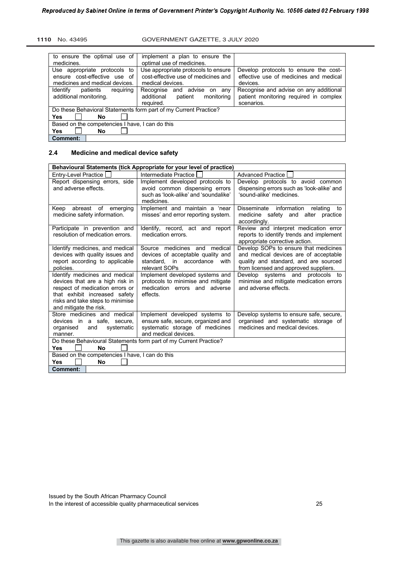#### **1110** No. 43495 GOVERNMENT GAZETTE, 3 JULY 2020

| to ensure the optimal use of<br>medicines.                                                     | implement a plan to ensure the<br>optimal use of medicines.                                    |                                                                                                |
|------------------------------------------------------------------------------------------------|------------------------------------------------------------------------------------------------|------------------------------------------------------------------------------------------------|
| Use appropriate protocols to<br>ensure cost-effective use of<br>medicines and medical devices. | Use appropriate protocols to ensure<br>cost-effective use of medicines and<br>medical devices. | Develop protocols to ensure the cost-<br>effective use of medicines and medical<br>devices.    |
| Identify<br>patients<br>requiring<br>additional monitoring.                                    | Recognise and advise on any<br>additional<br>monitoring<br>patient<br>required.                | Recognise and advise on any additional<br>patient monitoring required in complex<br>scenarios. |
| Do these Behavioral Statements form part of my Current Practice?<br>Yes<br>No                  |                                                                                                |                                                                                                |
| Based on the competencies I have, I can do this                                                |                                                                                                |                                                                                                |
| Yes<br>No.<br><b>Comment:</b>                                                                  |                                                                                                |                                                                                                |

# **2.4 Medicine and medical device safety**

| Behavioural Statements (tick Appropriate for your level of practice)                                                                                                                                |                                                                                                                                 |                                                                                                                                                                  |
|-----------------------------------------------------------------------------------------------------------------------------------------------------------------------------------------------------|---------------------------------------------------------------------------------------------------------------------------------|------------------------------------------------------------------------------------------------------------------------------------------------------------------|
| Entry-Level Practice                                                                                                                                                                                | Intermediate Practice                                                                                                           | <b>Advanced Practice</b>                                                                                                                                         |
| Report dispensing errors, side<br>and adverse effects.                                                                                                                                              | Implement developed protocols to<br>avoid common dispensing errors<br>such as 'look-alike' and 'soundalike'<br>medicines.       | Develop protocols to avoid common<br>dispensing errors such as 'look-alike' and<br>'sound-alike' medicines.                                                      |
| Keep<br>abreast of emerging<br>medicine safety information.                                                                                                                                         | Implement and maintain a 'near<br>misses' and error reporting system.                                                           | Disseminate information<br>relating<br>to<br>medicine safety and alter practice<br>accordingly.                                                                  |
| Participate in prevention and<br>resolution of medication errors.                                                                                                                                   | Identify, record, act and report<br>medication errors.                                                                          | Review and interpret medication error<br>reports to identify trends and implement<br>appropriate corrective action.                                              |
| Identify medicines, and medical<br>devices with quality issues and<br>report according to applicable<br>policies.                                                                                   | Source medicines and medical<br>devices of acceptable quality and<br>standard, in accordance<br>with<br>relevant SOPs           | Develop SOPs to ensure that medicines<br>and medical devices are of acceptable<br>quality and standard, and are sourced<br>from licensed and approved suppliers. |
| Identify medicines and medical<br>devices that are a high risk in<br>respect of medication errors or<br>that exhibit increased safety<br>risks and take steps to minimise<br>and mitigate the risk. | Implement developed systems and<br>protocols to minimise and mitigate<br>medication errors and adverse<br>effects.              | Develop systems and protocols to<br>minimise and mitigate medication errors<br>and adverse effects.                                                              |
| Store medicines and medical<br>devices in a safe, secure,<br>systematic<br>organised<br>and<br>manner.                                                                                              | Implement developed systems to<br>ensure safe, secure, organized and<br>systematic storage of medicines<br>and medical devices. | Develop systems to ensure safe, secure,<br>organised and systematic storage of<br>medicines and medical devices.                                                 |
| Nο<br><b>Yes</b>                                                                                                                                                                                    | Do these Behavioural Statements form part of my Current Practice?                                                               |                                                                                                                                                                  |
| Based on the competencies I have, I can do this                                                                                                                                                     |                                                                                                                                 |                                                                                                                                                                  |
| <b>Yes</b><br>No                                                                                                                                                                                    |                                                                                                                                 |                                                                                                                                                                  |
| <b>Comment:</b>                                                                                                                                                                                     |                                                                                                                                 |                                                                                                                                                                  |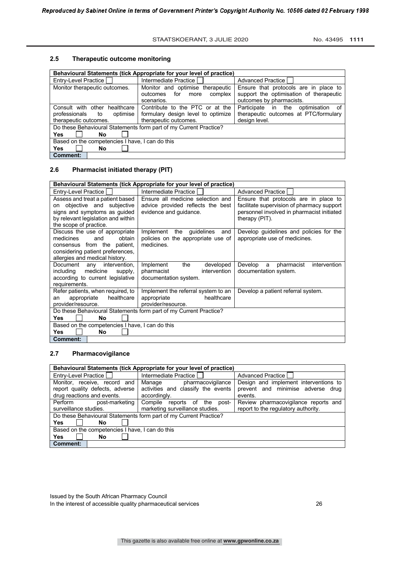# **2.5 Therapeutic outcome monitoring**

| Behavioural Statements (tick Appropriate for your level of practice) |                                                                   |                                         |
|----------------------------------------------------------------------|-------------------------------------------------------------------|-----------------------------------------|
| Entry-Level Practice                                                 | Intermediate Practice                                             | Advanced Practice                       |
| Monitor therapeutic outcomes.                                        | Monitor and optimise therapeutic                                  | Ensure that protocols are in place to   |
|                                                                      | for<br>complex<br>outcomes<br>more                                | support the optimisation of therapeutic |
|                                                                      | scenarios.                                                        | outcomes by pharmacists.                |
| Consult with other healthcare                                        | Contribute to the PTC or at the                                   | Participate in the optimisation<br>of   |
| professionals to<br>optimise                                         | formulary design level to optimize                                | therapeutic outcomes at PTC/formulary   |
| therapeutic outcomes.                                                | therapeutic outcomes.                                             | design level.                           |
|                                                                      | Do these Behavioural Statements form part of my Current Practice? |                                         |
| <b>Yes</b><br>No                                                     |                                                                   |                                         |
| Based on the competencies I have, I can do this                      |                                                                   |                                         |
| <b>Yes</b><br>No                                                     |                                                                   |                                         |
| Comment:                                                             |                                                                   |                                         |

# **2.6 Pharmacist initiated therapy (PIT)**

| Behavioural Statements (tick Appropriate for your level of practice) |                                                                   |                                            |
|----------------------------------------------------------------------|-------------------------------------------------------------------|--------------------------------------------|
| Entry-Level Practice                                                 | Intermediate Practice                                             | <b>Advanced Practice</b>                   |
| Assess and treat a patient based                                     | Ensure all medicine selection and                                 | Ensure that protocols are in place to      |
| objective and subjective<br>on                                       | advice provided reflects the best                                 | facilitate supervision of pharmacy support |
| signs and symptoms as guided                                         | evidence and quidance.                                            | personnel involved in pharmacist initiated |
| by relevant legislation and within                                   |                                                                   | therapy (PIT).                             |
| the scope of practice.                                               |                                                                   |                                            |
| Discuss the use of appropriate                                       | Implement the guidelines<br>and                                   | Develop guidelines and policies for the    |
| obtain<br>medicines<br>and                                           | policies on the appropriate use of                                | appropriate use of medicines.              |
| consensus from the patient,                                          | medicines.                                                        |                                            |
| considering patient preferences,                                     |                                                                   |                                            |
| allergies and medical history.                                       |                                                                   |                                            |
| Document any<br>intervention,                                        | Implement<br>the<br>developed                                     | intervention<br>Develop<br>pharmacist<br>a |
| including<br>medicine<br>supply,                                     | pharmacist<br>intervention                                        | documentation system.                      |
| according to current legislative                                     | documentation system.                                             |                                            |
| requirements.                                                        |                                                                   |                                            |
| Refer patients, when required, to                                    | Implement the referral system to an                               | Develop a patient referral system.         |
| healthcare<br>appropriate<br>an                                      | healthcare<br>appropriate                                         |                                            |
| provider/resource.                                                   | provider/resource.                                                |                                            |
|                                                                      | Do these Behavioural Statements form part of my Current Practice? |                                            |
| <b>Yes</b><br><b>No</b>                                              |                                                                   |                                            |
| Based on the competencies I have, I can do this                      |                                                                   |                                            |
| <b>Yes</b><br>No                                                     |                                                                   |                                            |
| <b>Comment:</b>                                                      |                                                                   |                                            |

# **2.7 Pharmacovigilance**

| Behavioural Statements (tick Appropriate for your level of practice)                             |                                                                                     |                                                                                       |
|--------------------------------------------------------------------------------------------------|-------------------------------------------------------------------------------------|---------------------------------------------------------------------------------------|
| Entry-Level Practice                                                                             | Intermediate Practice                                                               | Advanced Practice                                                                     |
| Monitor, receive, record<br>and<br>report quality defects, adverse<br>drug reactions and events. | pharmacovigilance<br>Manage<br>activities and classify the events<br>accordingly.   | Design and implement interventions to<br>prevent and minimise adverse drug<br>events. |
| Perform<br>post-marketing<br>surveillance studies.                                               | Compile<br>$\circ$ of<br>reports<br>the<br>post-<br>marketing surveillance studies. | Review pharmacovigilance reports and<br>report to the regulatory authority.           |
|                                                                                                  | Do these Behavioural Statements form part of my Current Practice?                   |                                                                                       |
| Yes<br>No                                                                                        |                                                                                     |                                                                                       |
| Based on the competencies I have, I can do this                                                  |                                                                                     |                                                                                       |
| Yes<br>No                                                                                        |                                                                                     |                                                                                       |
| <b>Comment:</b>                                                                                  |                                                                                     |                                                                                       |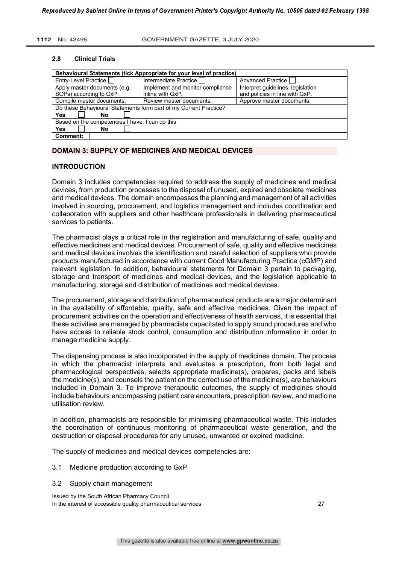#### **2.8 Clinical Trials**

| Behavioural Statements (tick Appropriate for your level of practice) |                                  |                                   |
|----------------------------------------------------------------------|----------------------------------|-----------------------------------|
| Entry-Level Practice                                                 | Intermediate Practice            | Advanced Practice                 |
| Apply master documents (e.g.                                         | Implement and monitor compliance | Interpret guidelines, legislation |
| SOPs) according to GxP.                                              | inline with GxP.                 | and policies in line with GxP.    |
| Compile master documents.                                            | Review master documents.         | Approve master documents.         |
| Do these Behavioural Statements form part of my Current Practice?    |                                  |                                   |
| Yes<br>No                                                            |                                  |                                   |
| Based on the competencies I have, I can do this                      |                                  |                                   |
| Yes<br>No                                                            |                                  |                                   |
| <b>Comment:</b>                                                      |                                  |                                   |

# **DOMAIN 3: SUPPLY OF MEDICINES AND MEDICAL DEVICES**

#### **INTRODUCTION**

Domain 3 includes competencies required to address the supply of medicines and medical devices, from production processes to the disposal of unused, expired and obsolete medicines and medical devices. The domain encompasses the planning and management of all activities involved in sourcing, procurement, and logistics management and includes coordination and collaboration with suppliers and other healthcare professionals in delivering pharmaceutical services to patients.

The pharmacist plays a critical role in the registration and manufacturing of safe, quality and effective medicines and medical devices. Procurement of safe, quality and effective medicines and medical devices involves the identification and careful selection of suppliers who provide products manufactured in accordance with current Good Manufacturing Practice (cGMP) and relevant legislation. In addition, behavioural statements for Domain 3 pertain to packaging, storage and transport of medicines and medical devices, and the legislation applicable to manufacturing, storage and distribution of medicines and medical devices.

The procurement, storage and distribution of pharmaceutical products are a major determinant in the availability of affordable, quality, safe and effective medicines. Given the impact of procurement activities on the operation and effectiveness of health services, it is essential that these activities are managed by pharmacists capacitated to apply sound procedures and who have access to reliable stock control, consumption and distribution information in order to manage medicine supply.

The dispensing process is also incorporated in the supply of medicines domain. The process in which the pharmacist interprets and evaluates a prescription, from both legal and pharmacological perspectives, selects appropriate medicine(s), prepares, packs and labels the medicine(s), and counsels the patient on the correct use of the medicine(s), are behaviours included in Domain 3. To improve therapeutic outcomes, the supply of medicines should include behaviours encompassing patient care encounters, prescription review, and medicine utilisation review.

In addition, pharmacists are responsible for minimising pharmaceutical waste. This includes the coordination of continuous monitoring of pharmaceutical waste generation, and the destruction or disposal procedures for any unused, unwanted or expired medicine.

The supply of medicines and medical devices competencies are:

- 3.1 Medicine production according to GxP
- 3.2 Supply chain management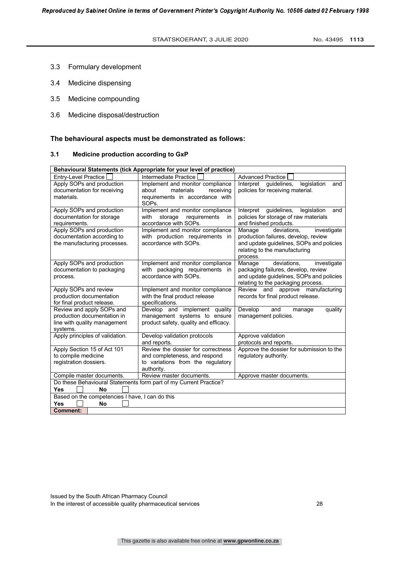- 3.3 Formulary development
- 3.4 Medicine dispensing
- 3.5 Medicine compounding
- 3.6 Medicine disposal/destruction

#### **The behavioural aspects must be demonstrated as follows:**

#### **3.1 Medicine production according to GxP**

| Behavioural Statements (tick Appropriate for your level of practice)                                 |                                                                                                                              |                                                                                                                                                                       |
|------------------------------------------------------------------------------------------------------|------------------------------------------------------------------------------------------------------------------------------|-----------------------------------------------------------------------------------------------------------------------------------------------------------------------|
| <b>Entry-Level Practice</b>                                                                          | Intermediate Practice                                                                                                        | <b>Advanced Practice</b>                                                                                                                                              |
| Apply SOPs and production<br>documentation for receiving<br>materials.                               | Implement and monitor compliance<br>about<br>materials<br>receiving<br>requirements in accordance with<br>SOP <sub>s</sub> . | legislation<br>Interpret<br>quidelines.<br>and<br>policies for receiving material.                                                                                    |
| Apply SOPs and production<br>documentation for storage<br>requirements.                              | Implement and monitor compliance<br>with<br>requirements<br>storage<br>in<br>accordance with SOPs.                           | Interpret<br>guidelines,<br>legislation<br>and<br>policies for storage of raw materials<br>and finished products.                                                     |
| Apply SOPs and production<br>documentation according to<br>the manufacturing processes.              | Implement and monitor compliance<br>with production requirements in<br>accordance with SOPs.                                 | deviations.<br>Manage<br>investigate<br>production failures, develop, review<br>and update guidelines, SOPs and policies<br>relating to the manufacturing<br>process. |
| Apply SOPs and production<br>documentation to packaging<br>process.                                  | Implement and monitor compliance<br>with packaging requirements in<br>accordance with SOPs.                                  | deviations.<br>Manage<br>investigate<br>packaging failures, develop, review<br>and update guidelines, SOPs and policies<br>relating to the packaging process.         |
| Apply SOPs and review<br>production documentation<br>for final product release.                      | Implement and monitor compliance<br>with the final product release<br>specifications.                                        | Review and approve manufacturing<br>records for final product release.                                                                                                |
| Review and apply SOPs and<br>production documentation in<br>line with quality management<br>systems. | Develop and implement quality<br>management systems to ensure<br>product safety, quality and efficacy.                       | Develop<br>quality<br>and<br>manage<br>management policies.                                                                                                           |
| Apply principles of validation.                                                                      | Develop validation protocols<br>and reports.                                                                                 | Approve validation<br>protocols and reports.                                                                                                                          |
| Apply Section 15 of Act 101<br>to compile medicine<br>registration dossiers.                         | Review the dossier for correctness<br>and completeness, and respond<br>to variations from the regulatory<br>authority.       | Approve the dossier for submission to the<br>regulatory authority.                                                                                                    |
| Compile master documents.                                                                            | Review master documents.                                                                                                     | Approve master documents.                                                                                                                                             |
| <b>Yes</b><br><b>No</b>                                                                              | Do these Behavioural Statements form part of my Current Practice?                                                            |                                                                                                                                                                       |
| Based on the competencies I have, I can do this                                                      |                                                                                                                              |                                                                                                                                                                       |
| Yes<br>No                                                                                            |                                                                                                                              |                                                                                                                                                                       |
| <b>Comment:</b>                                                                                      |                                                                                                                              |                                                                                                                                                                       |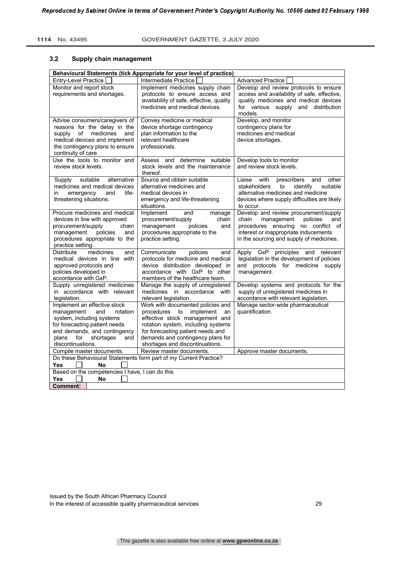# **3.2 Supply chain management**

| Behavioural Statements (tick Appropriate for your level of practice) |                                                                       |                                                                  |
|----------------------------------------------------------------------|-----------------------------------------------------------------------|------------------------------------------------------------------|
| Entry-Level Practice                                                 | Intermediate Practice                                                 | <b>Advanced Practice</b>                                         |
| Monitor and report stock                                             | Implement medicines supply chain                                      | Develop and review protocols to ensure                           |
| requirements and shortages.                                          | protocols to ensure access and                                        | access and availability of safe, effective,                      |
|                                                                      | availability of safe, effective, quality                              | quality medicines and medical devices                            |
|                                                                      | medicines and medical devices.                                        | for various supply and distribution                              |
|                                                                      |                                                                       | models.                                                          |
| Advise consumers/caregivers of                                       | Convey medicine or medical                                            | Develop, and monitor                                             |
| reasons for the delay in the                                         | device shortage contingency                                           | contingency plans for                                            |
| medicines<br>supply<br>of<br>and                                     | plan information to the                                               | medicines and medical                                            |
| medical devices and implement                                        | relevant healthcare                                                   | device shortages.                                                |
| the contingency plans to ensure                                      | professionals.                                                        |                                                                  |
| continuity of care.                                                  |                                                                       |                                                                  |
| Use the tools to monitor and                                         | Assess and determine suitable                                         | Develop tools to monitor                                         |
| review stock levels.                                                 | stock levels and the maintenance                                      | and review stock levels.                                         |
|                                                                      | thereof.<br>Source and obtain suitable                                | Liaise with<br>other                                             |
| suitable<br>alternative<br>Supply<br>medicines and medical devices   | alternative medicines and                                             | prescribers<br>and<br>stakeholders<br>to<br>identify<br>suitable |
| emergency<br>and<br>life-<br>in                                      | medical devices in                                                    | alternative medicines and medicine                               |
| threatening situations.                                              | emergency and life-threatening                                        | devices where supply difficulties are likely                     |
|                                                                      | situations.                                                           | to occur.                                                        |
| Procure medicines and medical                                        | Implement<br>and<br>manage                                            | Develop and review procurement/supply                            |
| devices in line with approved                                        | procurement/supply<br>chain                                           | management<br>policies<br>chain<br>and                           |
| procurement/supply<br>chain                                          | management<br>policies<br>and                                         | procedures ensuring no conflict of                               |
| management<br>policies<br>and                                        | procedures appropriate to the                                         | interest or inappropriate inducements                            |
| procedures appropriate to the                                        | practice setting.                                                     | in the sourcing and supply of medicines.                         |
| practice setting.                                                    |                                                                       |                                                                  |
| <b>Distribute</b><br>medicines<br>and                                | Communicate<br>policies<br>and                                        | Apply GxP principles and<br>relevant                             |
| medical devices in line with                                         | protocols for medicine and medical                                    | legislation in the development of policies                       |
| approved protocols and                                               | device distribution developed in                                      | and protocols for medicine supply                                |
| policies developed in                                                | accordance with GxP to other                                          | management.                                                      |
| accordance with GxP.                                                 | members of the healthcare team.                                       |                                                                  |
| Supply unregistered medicines                                        | Manage the supply of unregistered                                     | Develop systems and protocols for the                            |
| in accordance with relevant                                          | medicines in accordance with                                          | supply of unregistered medicines in                              |
| legislation.                                                         | relevant legislation.                                                 | accordance with relevant legislation.                            |
| Implement an effective stock                                         | Work with documented policies and                                     | Manage sector-wide pharmaceutical<br>quantification.             |
| management<br>and<br>rotation<br>system, including systems           | procedures<br>to<br>implement<br>an<br>effective stock management and |                                                                  |
| for forecasting patient needs                                        | rotation system, including systems                                    |                                                                  |
| and demands, and contingency                                         | for forecasting patient needs and                                     |                                                                  |
| shortages<br>plans<br>for<br>and                                     | demands and contingency plans for                                     |                                                                  |
| discontinuations.                                                    | shortages and discontinuations.                                       |                                                                  |
| Compile master documents.                                            | Review master documents.                                              | Approve master documents.                                        |
|                                                                      | Do these Behavioural Statements form part of my Current Practice?     |                                                                  |
| <b>Yes</b><br>No                                                     |                                                                       |                                                                  |
| Based on the competencies I have, I can do this                      |                                                                       |                                                                  |
| <b>Yes</b><br>No                                                     |                                                                       |                                                                  |
| <b>Comment:</b>                                                      |                                                                       |                                                                  |

Issued by the South African Pharmacy Council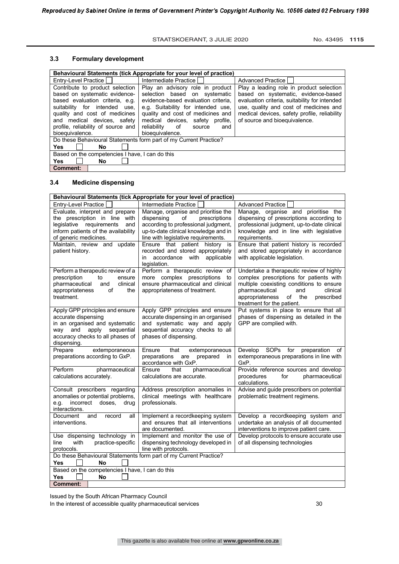# **3.3 Formulary development**

| Behavioural Statements (tick Appropriate for your level of practice)                                                                                                                                                                                             |                                                                                                                                                                                                                                                                                  |                                                                                                                                                                                                                                                             |
|------------------------------------------------------------------------------------------------------------------------------------------------------------------------------------------------------------------------------------------------------------------|----------------------------------------------------------------------------------------------------------------------------------------------------------------------------------------------------------------------------------------------------------------------------------|-------------------------------------------------------------------------------------------------------------------------------------------------------------------------------------------------------------------------------------------------------------|
| Entry-Level Practice                                                                                                                                                                                                                                             | Intermediate Practice                                                                                                                                                                                                                                                            | <b>Advanced Practice</b>                                                                                                                                                                                                                                    |
| Contribute to product selection<br>based on systematic evidence-<br>based evaluation criteria, e.g.<br>suitability for intended<br>use.<br>quality and cost of medicines<br>and medical devices, safety<br>profile, reliability of source and<br>bioequivalence. | Play an advisory role in product<br>selection based on systematic<br>evidence-based evaluation criteria.<br>e.g. Suitability for intended use,<br>quality and cost of medicines and<br>medical devices, safety profile,<br>reliability<br>of<br>source<br>and<br>bioequivalence. | Play a leading role in product selection<br>based on systematic, evidence-based<br>evaluation criteria, suitability for intended<br>use, quality and cost of medicines and<br>medical devices, safety profile, reliability<br>of source and bioequivalence. |
| Do these Behavioural Statements form part of my Current Practice?                                                                                                                                                                                                |                                                                                                                                                                                                                                                                                  |                                                                                                                                                                                                                                                             |
| <b>Yes</b><br><b>No</b>                                                                                                                                                                                                                                          |                                                                                                                                                                                                                                                                                  |                                                                                                                                                                                                                                                             |
| Based on the competencies I have, I can do this                                                                                                                                                                                                                  |                                                                                                                                                                                                                                                                                  |                                                                                                                                                                                                                                                             |
| <b>Yes</b><br><b>No</b>                                                                                                                                                                                                                                          |                                                                                                                                                                                                                                                                                  |                                                                                                                                                                                                                                                             |
| Comment:                                                                                                                                                                                                                                                         |                                                                                                                                                                                                                                                                                  |                                                                                                                                                                                                                                                             |

#### **3.4 Medicine dispensing**

| Behavioural Statements (tick Appropriate for your level of practice)                                                                                                                               |                                                                                                                                                                                                                                  |                                                                                                                                                                                                                                               |
|----------------------------------------------------------------------------------------------------------------------------------------------------------------------------------------------------|----------------------------------------------------------------------------------------------------------------------------------------------------------------------------------------------------------------------------------|-----------------------------------------------------------------------------------------------------------------------------------------------------------------------------------------------------------------------------------------------|
| Entry-Level Practice                                                                                                                                                                               | Intermediate Practice                                                                                                                                                                                                            | <b>Advanced Practice</b>                                                                                                                                                                                                                      |
| Evaluate, interpret and prepare<br>the prescription in line with<br>legislative requirements<br>and<br>inform patients of the availability<br>of generic medicines.<br>Maintain, review and update | Manage, organise and prioritise the<br>dispensing<br>of<br>prescriptions<br>according to professional judgment,<br>up-to-date clinical knowledge and in<br>line with legislative requirements.<br>Ensure that patient history is | Manage, organise and prioritise the<br>dispensing of prescriptions according to<br>professional judgment, up-to-date clinical<br>knowledge and in line with legislative<br>requirements.<br>Ensure that patient history is recorded           |
| patient history.                                                                                                                                                                                   | recorded and stored appropriately<br>accordance with applicable<br>in<br>legislation.                                                                                                                                            | and stored appropriately in accordance<br>with applicable legislation.                                                                                                                                                                        |
| Perform a therapeutic review of a<br>prescription<br>to<br>ensure<br>clinical<br>pharmaceutical<br>and<br>appropriateness<br>οf<br>the<br>treatment.                                               | Perform a therapeutic review of<br>more complex prescriptions<br>to<br>ensure pharmaceutical and clinical<br>appropriateness of treatment.                                                                                       | Undertake a therapeutic review of highly<br>complex prescriptions for patients with<br>multiple coexisting conditions to ensure<br>pharmaceutical<br>and<br>clinical<br>appropriateness<br>of the<br>prescribed<br>treatment for the patient. |
| Apply GPP principles and ensure<br>accurate dispensing<br>in an organised and systematic<br>apply sequential<br>way and<br>accuracy checks to all phases of<br>dispensing.                         | Apply GPP principles and ensure<br>accurate dispensing in an organised<br>and systematic way and apply<br>sequential accuracy checks to all<br>phases of dispensing.                                                             | Put systems in place to ensure that all<br>phases of dispensing as detailed in the<br>GPP are complied with.                                                                                                                                  |
| Prepare<br>extemporaneous<br>preparations according to GxP.                                                                                                                                        | that<br>Ensure<br>extemporaneous<br>preparations<br>prepared<br>are<br>in.<br>accordance with GxP.                                                                                                                               | Develop SOPs for<br>preparation<br>of<br>extemporaneous preparations in line with<br>GxP.                                                                                                                                                     |
| Perform<br>pharmaceutical<br>calculations accurately.                                                                                                                                              | Ensure<br>that<br>pharmaceutical<br>calculations are accurate.                                                                                                                                                                   | Provide reference sources and develop<br>pharmaceutical<br>procedures<br>for<br>calculations.                                                                                                                                                 |
| Consult prescribers regarding<br>anomalies or potential problems,<br>incorrect doses,<br>e.g.<br>drug<br>interactions.                                                                             | Address prescription anomalies in<br>clinical meetings with healthcare<br>professionals.                                                                                                                                         | Advise and guide prescribers on potential<br>problematic treatment regimens.                                                                                                                                                                  |
| Document<br>all<br>and<br>record<br>interventions.                                                                                                                                                 | Implement a recordkeeping system<br>and ensures that all interventions<br>are documented.                                                                                                                                        | Develop a recordkeeping system and<br>undertake an analysis of all documented<br>interventions to improve patient care.                                                                                                                       |
| Use dispensing technology in<br>with<br>practice-specific<br>line<br>protocols.                                                                                                                    | Implement and monitor the use of<br>dispensing technology developed in<br>line with protocols.                                                                                                                                   | Develop protocols to ensure accurate use<br>of all dispensing technologies                                                                                                                                                                    |
| Do these Behavioural Statements form part of my Current Practice?<br><b>Yes</b><br><b>No</b>                                                                                                       |                                                                                                                                                                                                                                  |                                                                                                                                                                                                                                               |
| Based on the competencies I have, I can do this<br><b>Yes</b><br>No                                                                                                                                |                                                                                                                                                                                                                                  |                                                                                                                                                                                                                                               |
| <b>Comment:</b>                                                                                                                                                                                    |                                                                                                                                                                                                                                  |                                                                                                                                                                                                                                               |

Issued by the South African Pharmacy Council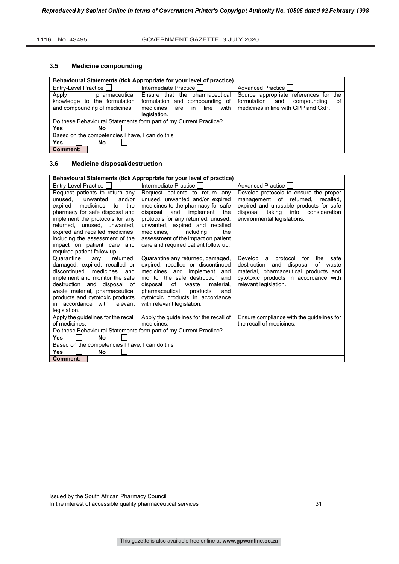#### **3.5 Medicine compounding**

| Behavioural Statements (tick Appropriate for your level of practice)                     |                                                                                                                            |                                                                                                                         |
|------------------------------------------------------------------------------------------|----------------------------------------------------------------------------------------------------------------------------|-------------------------------------------------------------------------------------------------------------------------|
| Entry-Level Practice                                                                     | Intermediate Practice                                                                                                      | Advanced Practice                                                                                                       |
| pharmaceutical<br>Apply<br>knowledge to the formulation<br>and compounding of medicines. | Ensure that the pharmaceutical<br>formulation and compounding of<br>medicines<br>with<br>in<br>line<br>are<br>legislation. | Source appropriate references for the<br>formulation<br>and<br>compounding<br>οf<br>medicines in line with GPP and GxP. |
| Do these Behavioural Statements form part of my Current Practice?                        |                                                                                                                            |                                                                                                                         |
| <b>Yes</b><br>No                                                                         |                                                                                                                            |                                                                                                                         |
| Based on the competencies I have, I can do this                                          |                                                                                                                            |                                                                                                                         |
| Yes<br>No                                                                                |                                                                                                                            |                                                                                                                         |
| Comment:                                                                                 |                                                                                                                            |                                                                                                                         |

# **3.6 Medicine disposal/destruction**

| Behavioural Statements (tick Appropriate for your level of practice)                                                                                                                                                                                                                                                                        |                                                                                                                                                                                                                                                                                                                                       |                                                                                                                                                                                                |
|---------------------------------------------------------------------------------------------------------------------------------------------------------------------------------------------------------------------------------------------------------------------------------------------------------------------------------------------|---------------------------------------------------------------------------------------------------------------------------------------------------------------------------------------------------------------------------------------------------------------------------------------------------------------------------------------|------------------------------------------------------------------------------------------------------------------------------------------------------------------------------------------------|
| Entry-Level Practice [                                                                                                                                                                                                                                                                                                                      | Intermediate Practice                                                                                                                                                                                                                                                                                                                 | <b>Advanced Practice</b>                                                                                                                                                                       |
| Request patients to return any<br>and/or<br>unwanted<br>unused.<br>expired<br>medicines<br>the<br>to<br>pharmacy for safe disposal and<br>implement the protocols for any<br>returned, unused, unwanted,<br>expired and recalled medicines,<br>including the assessment of the<br>impact on patient care and<br>required patient follow up. | Request patients to return any<br>unused, unwanted and/or expired<br>medicines to the pharmacy for safe<br>disposal<br>and implement<br>the<br>protocols for any returned, unused,<br>unwanted, expired and recalled<br>medicines.<br>including<br>the<br>assessment of the impact on patient<br>care and required patient follow up. | Develop protocols to ensure the proper<br>management of returned, recalled,<br>expired and unusable products for safe<br>disposal taking<br>into consideration<br>environmental legislations.  |
| Quarantine<br>returned.<br>any<br>damaged, expired, recalled or<br>discontinued<br>medicines<br>and<br>implement and monitor the safe<br>destruction and disposal of<br>waste material, pharmaceutical<br>products and cytotoxic products<br>in accordance with relevant<br>legislation.                                                    | Quarantine any returned, damaged,<br>expired, recalled or discontinued<br>medicines and implement and<br>monitor the safe destruction and<br>of<br>disposal<br>material.<br>waste<br>pharmaceutical<br>products<br>and<br>cytotoxic products in accordance<br>with relevant legislation.                                              | Develop a protocol for<br>the<br>safe<br>and<br>disposal<br>destruction<br>of waste<br>material, pharmaceutical products and<br>cytotoxic products in accordance with<br>relevant legislation. |
| Apply the guidelines for the recall<br>of medicines.                                                                                                                                                                                                                                                                                        | Apply the guidelines for the recall of<br>medicines.                                                                                                                                                                                                                                                                                  | Ensure compliance with the guidelines for<br>the recall of medicines.                                                                                                                          |
|                                                                                                                                                                                                                                                                                                                                             | Do these Behavioural Statements form part of my Current Practice?                                                                                                                                                                                                                                                                     |                                                                                                                                                                                                |
| <b>Yes</b><br><b>No</b>                                                                                                                                                                                                                                                                                                                     |                                                                                                                                                                                                                                                                                                                                       |                                                                                                                                                                                                |
| Based on the competencies I have, I can do this                                                                                                                                                                                                                                                                                             |                                                                                                                                                                                                                                                                                                                                       |                                                                                                                                                                                                |
| <b>Yes</b><br>No                                                                                                                                                                                                                                                                                                                            |                                                                                                                                                                                                                                                                                                                                       |                                                                                                                                                                                                |
| Comment:                                                                                                                                                                                                                                                                                                                                    |                                                                                                                                                                                                                                                                                                                                       |                                                                                                                                                                                                |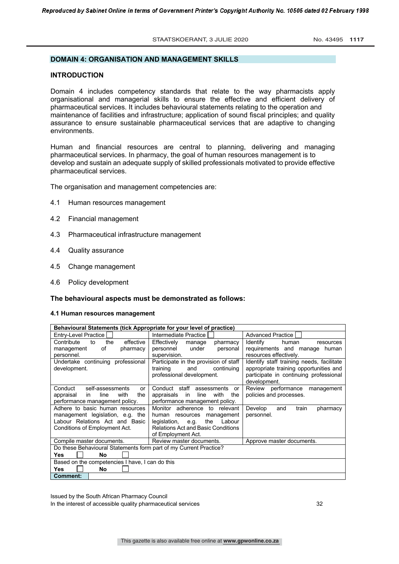# **DOMAIN 4: ORGANISATION AND MANAGEMENT SKILLS**

#### **INTRODUCTION**

Domain 4 includes competency standards that relate to the way pharmacists apply organisational and managerial skills to ensure the effective and efficient delivery of pharmaceutical services. It includes behavioural statements relating to the operation and maintenance of facilities and infrastructure; application of sound fiscal principles; and quality assurance to ensure sustainable pharmaceutical services that are adaptive to changing environments.

Human and financial resources are central to planning, delivering and managing pharmaceutical services. In pharmacy, the goal of human resources management is to develop and sustain an adequate supply of skilled professionals motivated to provide effective pharmaceutical services.

The organisation and management competencies are:

- 4.1 Human resources management
- 4.2 Financial management
- 4.3 Pharmaceutical infrastructure management
- 4.4 Quality assurance
- 4.5 Change management
- 4.6 Policy development

#### **The behavioural aspects must be demonstrated as follows:**

#### **4.1 Human resources management**

| Behavioural Statements (tick Appropriate for your level of practice) |                                           |                                           |
|----------------------------------------------------------------------|-------------------------------------------|-------------------------------------------|
| Entry-Level Practice                                                 | Intermediate Practice                     | Advanced Practice                         |
| effective<br>Contribute<br>to<br>the                                 | Effectively<br>pharmacy<br>manage         | Identify<br>human<br>resources            |
| οf<br>pharmacy<br>management                                         | under<br>personnel<br>personal            | requirements and manage human             |
| personnel.                                                           | supervision.                              | resources effectively.                    |
| Undertake continuing professional                                    | Participate in the provision of staff     | Identify staff training needs, facilitate |
| development.                                                         | continuing<br>training<br>and             | appropriate training opportunities and    |
|                                                                      | professional development.                 | participate in continuing professional    |
|                                                                      |                                           | development.                              |
| Conduct<br>self-assessments<br>or                                    | Conduct staff<br>assessments<br>or        | Review performance<br>management          |
| line<br>with<br>appraisal<br>the<br>in                               | line<br>with<br>the<br>appraisals<br>in   | policies and processes.                   |
| performance management policy.                                       | performance management policy.            |                                           |
| Adhere to basic human resources                                      | Monitor adherence to relevant             | Develop<br>train<br>and<br>pharmacy       |
| management legislation, e.g. the                                     | human resources<br>management             | personnel.                                |
| Labour Relations Act and Basic                                       | the<br>legislation,<br>Labour<br>e.g.     |                                           |
| Conditions of Employment Act.                                        | <b>Relations Act and Basic Conditions</b> |                                           |
|                                                                      | of Employment Act.                        |                                           |
| Compile master documents.                                            | Review master documents.                  | Approve master documents.                 |
| Do these Behavioural Statements form part of my Current Practice?    |                                           |                                           |
| <b>Yes</b><br>No                                                     |                                           |                                           |
| Based on the competencies I have, I can do this                      |                                           |                                           |
| Yes<br>No.                                                           |                                           |                                           |
| <b>Comment:</b>                                                      |                                           |                                           |

Issued by the South African Pharmacy Council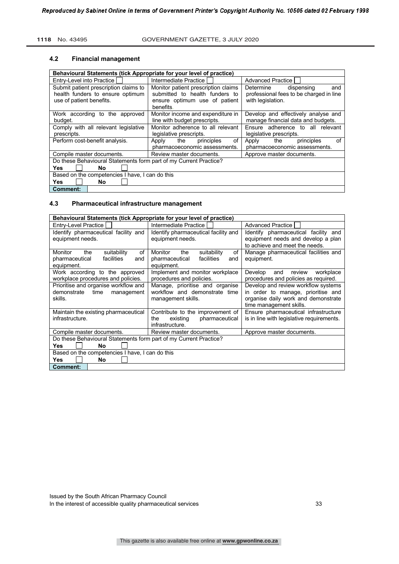#### **4.2 Financial management**

| Behavioural Statements (tick Appropriate for your level of practice)                                  |                                                                                                                     |                                                                                                |
|-------------------------------------------------------------------------------------------------------|---------------------------------------------------------------------------------------------------------------------|------------------------------------------------------------------------------------------------|
| Entry-Level into Practice                                                                             | Intermediate Practice                                                                                               | <b>Advanced Practice</b>                                                                       |
| Submit patient prescription claims to<br>health funders to ensure optimum<br>use of patient benefits. | Monitor patient prescription claims<br>submitted to health funders to<br>ensure optimum use of patient<br>benefits. | and<br>Determine<br>dispensing<br>professional fees to be charged in line<br>with legislation. |
| Work according to the approved<br>budget.                                                             | Monitor income and expenditure in<br>line with budget prescripts.                                                   | Develop and effectively analyse and<br>manage financial data and budgets.                      |
| Comply with all relevant legislative<br>prescripts.                                                   | Monitor adherence to all relevant<br>legislative prescripts.                                                        | Ensure adherence to all relevant<br>legislative prescripts.                                    |
| Perform cost-benefit analysis.                                                                        | of<br>the<br>principles<br>Apply<br>pharmacoeconomic assessments.                                                   | of<br>the<br>principles<br>Apply<br>pharmacoeconomic assessments.                              |
| Compile master documents.                                                                             | Review master documents.                                                                                            | Approve master documents.                                                                      |
| Do these Behavioural Statements form part of my Current Practice?<br>Yes<br>No                        |                                                                                                                     |                                                                                                |
| Based on the competencies I have, I can do this                                                       |                                                                                                                     |                                                                                                |
| Yes<br>No.                                                                                            |                                                                                                                     |                                                                                                |
| <b>Comment:</b>                                                                                       |                                                                                                                     |                                                                                                |

# **4.3 Pharmaceutical infrastructure management**

| Behavioural Statements (tick Appropriate for your level of practice) |                                      |                                           |  |
|----------------------------------------------------------------------|--------------------------------------|-------------------------------------------|--|
| Entry-Level Practice                                                 | Intermediate Practice                | Advanced Practice I                       |  |
| Identify pharmaceutical facility and                                 | Identify pharmaceutical facility and | Identify pharmaceutical facility and      |  |
| equipment needs.                                                     | equipment needs.                     | equipment needs and develop a plan        |  |
|                                                                      |                                      | to achieve and meet the needs.            |  |
| of<br>Monitor<br>the<br>suitability                                  | of<br>Monitor<br>the<br>suitability  | Manage pharmaceutical facilities and      |  |
| facilities<br>pharmaceutical<br>and                                  | facilities<br>pharmaceutical<br>and  | equipment.                                |  |
| equipment.                                                           | equipment.                           |                                           |  |
| Work according to the approved                                       | Implement and monitor workplace      | Develop<br>review<br>workplace<br>and     |  |
| workplace procedures and policies.                                   | procedures and policies.             | procedures and policies as required.      |  |
| Prioritise and organise workflow and                                 | Manage, prioritise and organise      | Develop and review workflow systems       |  |
| demonstrate time<br>management                                       | workflow and demonstrate time        | in order to manage, prioritise and        |  |
| skills.                                                              | management skills.                   | organise daily work and demonstrate       |  |
|                                                                      |                                      | time management skills.                   |  |
| Maintain the existing pharmaceutical                                 | Contribute to the improvement of     | Ensure pharmaceutical infrastructure      |  |
| infrastructure.                                                      | pharmaceutical<br>existing<br>the    | is in line with legislative requirements. |  |
|                                                                      | infrastructure.                      |                                           |  |
| Compile master documents.                                            | Review master documents.             | Approve master documents.                 |  |
| Do these Behavioural Statements form part of my Current Practice?    |                                      |                                           |  |
| Yes<br>No                                                            |                                      |                                           |  |
| Based on the competencies I have, I can do this                      |                                      |                                           |  |
| Yes<br>No                                                            |                                      |                                           |  |
| <b>Comment:</b>                                                      |                                      |                                           |  |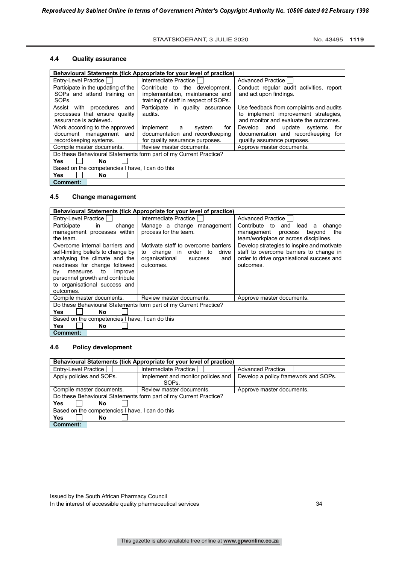# **4.4 Quality assurance**

|                                                 | Behavioural Statements (tick Appropriate for your level of practice) |                                          |
|-------------------------------------------------|----------------------------------------------------------------------|------------------------------------------|
| Entry-Level Practice                            | Intermediate Practice                                                | Advanced Practice                        |
| Participate in the updating of the              | Contribute to the development,                                       | Conduct regular audit activities, report |
| SOPs and attend training on                     | implementation, maintenance and                                      | and act upon findings.                   |
| SOP <sub>s</sub> .                              | training of staff in respect of SOPs.                                |                                          |
| Assist with procedures<br>and                   | Participate in quality assurance                                     | Use feedback from complaints and audits  |
| processes that ensure quality                   | audits.                                                              | to implement improvement strategies,     |
| assurance is achieved.                          |                                                                      | and monitor and evaluate the outcomes.   |
| Work according to the approved                  | Implement<br>for<br>a<br>system                                      | and update systems<br>for<br>Develop     |
| document management and                         | documentation and recordkeeping                                      | documentation and recordkeeping for      |
| recordkeeping systems.                          | for quality assurance purposes.                                      | quality assurance purposes.              |
| Compile master documents.                       | Review master documents.                                             | Approve master documents.                |
|                                                 | Do these Behavioural Statements form part of my Current Practice?    |                                          |
| <b>Yes</b><br>No                                |                                                                      |                                          |
| Based on the competencies I have, I can do this |                                                                      |                                          |
| <b>Yes</b><br>No.                               |                                                                      |                                          |
| Comment:                                        |                                                                      |                                          |

# **4.5 Change management**

| Behavioural Statements (tick Appropriate for your level of practice) |                                                                   |                                             |
|----------------------------------------------------------------------|-------------------------------------------------------------------|---------------------------------------------|
| Entry-Level Practice                                                 | Intermediate Practice                                             | <b>Advanced Practice I</b>                  |
| Participate<br>in<br>change                                          | Manage a change management                                        | Contribute to<br>lead<br>and<br>change<br>a |
| management processes within                                          | process for the team.                                             | beyond<br>management<br>the<br>process      |
| the team.                                                            |                                                                   | team/workplace or across disciplines.       |
| Overcome internal barriers and                                       | Motivate staff to overcome barriers                               | Develop strategies to inspire and motivate  |
| self-limiting beliefs to change by                                   | change in<br>order to<br>drive<br>to                              | staff to overcome barriers to change in     |
| analysing the climate and the                                        | organisational<br>success<br>and                                  | order to drive organisational success and   |
| readiness for change followed                                        | outcomes.                                                         | outcomes.                                   |
| measures to<br>improve<br>by                                         |                                                                   |                                             |
| personnel growth and contribute                                      |                                                                   |                                             |
| to organisational success and                                        |                                                                   |                                             |
| outcomes.                                                            |                                                                   |                                             |
| Compile master documents.                                            | Review master documents.                                          | Approve master documents.                   |
|                                                                      | Do these Behavioural Statements form part of my Current Practice? |                                             |
| <b>Yes</b><br>No                                                     |                                                                   |                                             |
| Based on the competencies I have, I can do this                      |                                                                   |                                             |
| <b>No</b><br>Yes.                                                    |                                                                   |                                             |
| <b>Comment:</b>                                                      |                                                                   |                                             |

#### **4.6 Policy development**

| Behavioural Statements (tick Appropriate for your level of practice) |                                                                   |                                      |
|----------------------------------------------------------------------|-------------------------------------------------------------------|--------------------------------------|
| Entry-Level Practice                                                 | Intermediate Practice                                             | Advanced Practice I                  |
| Apply policies and SOPs.                                             | Implement and monitor policies and                                | Develop a policy framework and SOPs. |
|                                                                      | SOP <sub>s</sub>                                                  |                                      |
| Compile master documents.                                            | Review master documents.                                          | Approve master documents.            |
|                                                                      | Do these Behavioural Statements form part of my Current Practice? |                                      |
| Yes<br>No                                                            |                                                                   |                                      |
| Based on the competencies I have, I can do this                      |                                                                   |                                      |
| Yes<br>No                                                            |                                                                   |                                      |
| <b>Comment:</b>                                                      |                                                                   |                                      |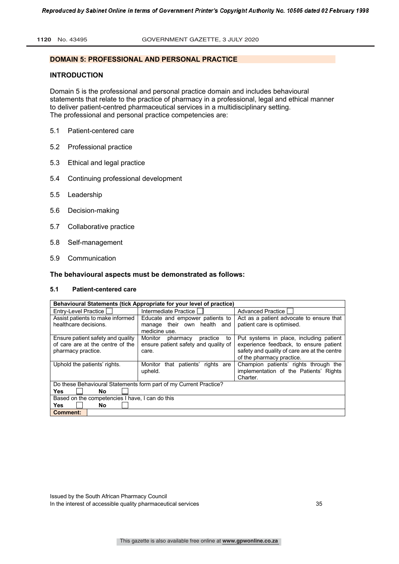### **DOMAIN 5: PROFESSIONAL AND PERSONAL PRACTICE**

#### **INTRODUCTION**

Domain 5 is the professional and personal practice domain and includes behavioural statements that relate to the practice of pharmacy in a professional, legal and ethical manner to deliver patient-centred pharmaceutical services in a multidisciplinary setting. The professional and personal practice competencies are:

- 5.1 Patient-centered care
- 5.2 Professional practice
- 5.3 Ethical and legal practice
- 5.4 Continuing professional development
- 5.5 Leadership
- 5.6 Decision-making
- 5.7 Collaborative practice
- 5.8 Self-management
- 5.9 Communication

#### **The behavioural aspects must be demonstrated as follows:**

#### **5.1 Patient-centered care**

| Behavioural Statements (tick Appropriate for your level of practice) |                                                                   |                                              |
|----------------------------------------------------------------------|-------------------------------------------------------------------|----------------------------------------------|
| Entry-Level Practice                                                 | Intermediate Practice I                                           | <b>Advanced Practice</b>                     |
| Assist patients to make informed                                     | Educate and empower patients to                                   | Act as a patient advocate to ensure that     |
| healthcare decisions.                                                | manage their own health and                                       | patient care is optimised.                   |
|                                                                      | medicine use.                                                     |                                              |
| Ensure patient safety and quality                                    | Monitor<br>pharmacy<br>practice<br>to                             | Put systems in place, including patient      |
| of care are at the centre of the                                     | ensure patient safety and quality of                              | experience feedback, to ensure patient       |
| pharmacy practice.                                                   | care.                                                             | safety and quality of care are at the centre |
|                                                                      |                                                                   | of the pharmacy practice.                    |
| Uphold the patients' rights.                                         | that patients'<br>rights are<br>Monitor                           | Champion patients' rights through the        |
|                                                                      | upheld.                                                           | implementation of the Patients' Rights       |
|                                                                      |                                                                   | Charter.                                     |
|                                                                      | Do these Behavioural Statements form part of my Current Practice? |                                              |
| <b>Yes</b><br>No                                                     |                                                                   |                                              |
| Based on the competencies I have, I can do this                      |                                                                   |                                              |
| <b>Yes</b><br>No.                                                    |                                                                   |                                              |
| <b>Comment:</b>                                                      |                                                                   |                                              |

Issued by the South African Pharmacy Council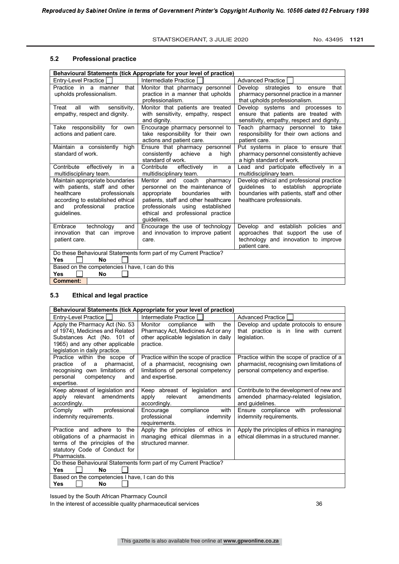#### **5.2 Professional practice**

| Behavioural Statements (tick Appropriate for your level of practice)                                                                                                                   |                                                                                                                                                                                                                                           |                                                                                                                                                            |
|----------------------------------------------------------------------------------------------------------------------------------------------------------------------------------------|-------------------------------------------------------------------------------------------------------------------------------------------------------------------------------------------------------------------------------------------|------------------------------------------------------------------------------------------------------------------------------------------------------------|
| <b>Entry-Level Practice</b>                                                                                                                                                            | Intermediate Practice I                                                                                                                                                                                                                   | Advanced Practice                                                                                                                                          |
| that<br>Practice in a manner<br>upholds professionalism.                                                                                                                               | Monitor that pharmacy personnel<br>practice in a manner that upholds<br>professionalism.                                                                                                                                                  | Develop<br>strategies to ensure that<br>pharmacy personnel practice in a manner<br>that upholds professionalism.                                           |
| all<br>with<br>Treat<br>sensitivity,<br>empathy, respect and dignity.                                                                                                                  | Monitor that patients are treated<br>with sensitivity, empathy, respect<br>and dignity.                                                                                                                                                   | Develop systems and processes to<br>ensure that patients are treated with<br>sensitivity, empathy, respect and dignity.                                    |
| Take responsibility for<br>own<br>actions and patient care.                                                                                                                            | Encourage pharmacy personnel to<br>take responsibility for their own<br>actions and patient care.                                                                                                                                         | Teach pharmacy personnel to take<br>responsibility for their own actions and<br>patient care.                                                              |
| Maintain a consistently<br>high<br>standard of work.                                                                                                                                   | Ensure that pharmacy personnel<br>consistently achieve<br>a<br>high<br>standard of work.                                                                                                                                                  | Put systems in place to ensure that<br>pharmacy personnel consistently achieve<br>a high standard of work.                                                 |
| Contribute effectively<br>in<br>a<br>multidisciplinary team.                                                                                                                           | in<br>effectively<br>Contribute<br>a<br>multidisciplinary team.                                                                                                                                                                           | Lead and participate effectively in a<br>multidisciplinary team.                                                                                           |
| Maintain appropriate boundaries<br>with patients, staff and other<br>healthcare<br>professionals<br>according to established ethical<br>professional<br>practice<br>and<br>quidelines. | Mentor<br>pharmacy<br>and<br>coach<br>personnel on the maintenance of<br>boundaries<br>with<br>appropriate<br>patients, staff and other healthcare<br>professionals using established<br>ethical and professional practice<br>quidelines. | Develop ethical and professional practice<br>quidelines to establish appropriate<br>boundaries with patients, staff and other<br>healthcare professionals. |
| Embrace<br>technology<br>and<br>innovation that can improve<br>patient care.                                                                                                           | Encourage the use of technology<br>and innovation to improve patient<br>care.                                                                                                                                                             | Develop and establish policies and<br>approaches that support the use of<br>technology and innovation to improve<br>patient care.                          |
| <b>Yes</b><br><b>No</b>                                                                                                                                                                | Do these Behavioural Statements form part of my Current Practice?                                                                                                                                                                         |                                                                                                                                                            |
| Based on the competencies I have, I can do this                                                                                                                                        |                                                                                                                                                                                                                                           |                                                                                                                                                            |
| <b>Yes</b><br>No<br><b>Comment:</b>                                                                                                                                                    |                                                                                                                                                                                                                                           |                                                                                                                                                            |
|                                                                                                                                                                                        |                                                                                                                                                                                                                                           |                                                                                                                                                            |

# **5.3 Ethical and legal practice**

| Behavioural Statements (tick Appropriate for your level of practice)                                                                                                |                                                                                                                                   |                                                                                                                                |
|---------------------------------------------------------------------------------------------------------------------------------------------------------------------|-----------------------------------------------------------------------------------------------------------------------------------|--------------------------------------------------------------------------------------------------------------------------------|
| Entry-Level Practice                                                                                                                                                | Intermediate Practice                                                                                                             | Advanced Practice                                                                                                              |
| Apply the Pharmacy Act (No. 53<br>of 1974), Medicines and Related<br>Substances Act (No. 101 of<br>1965) and any other applicable<br>legislation in daily practice. | Monitor<br>compliance<br>with<br>the<br>Pharmacy Act, Medicines Act or any<br>other applicable legislation in daily<br>practice.  | Develop and update protocols to ensure<br>that practice is in line with current<br>legislation.                                |
| Practice within the scope of<br>practice of a<br>pharmacist,<br>recognising own limitations of<br>personal competency<br>and<br>expertise.                          | Practice within the scope of practice<br>of a pharmacist, recognising own<br>limitations of personal competency<br>and expertise. | Practice within the scope of practice of a<br>pharmacist, recognising own limitations of<br>personal competency and expertise. |
| Keep abreast of legislation and<br>apply relevant amendments<br>accordingly.                                                                                        | Keep abreast of legislation and<br>relevant<br>amendments<br>apply<br>accordingly.                                                | Contribute to the development of new and<br>amended pharmacy-related legislation,<br>and guidelines.                           |
| with<br>professional<br>Comply<br>indemnity requirements.                                                                                                           | compliance<br>Encourage<br>with<br>professional<br>indemnity<br>requirements.                                                     | Ensure compliance with professional<br>indemnity requirements.                                                                 |
| Practice and adhere to the<br>obligations of a pharmacist in<br>terms of the principles of the<br>statutory Code of Conduct for<br>Pharmacists.                     | Apply the principles of ethics in<br>managing ethical dilemmas in a<br>structured manner.                                         | Apply the principles of ethics in managing<br>ethical dilemmas in a structured manner.                                         |
| Do these Behavioural Statements form part of my Current Practice?<br><b>Yes</b><br>No.                                                                              |                                                                                                                                   |                                                                                                                                |
| Based on the competencies I have, I can do this                                                                                                                     |                                                                                                                                   |                                                                                                                                |
| Yes<br>No                                                                                                                                                           |                                                                                                                                   |                                                                                                                                |

Issued by the South African Pharmacy Council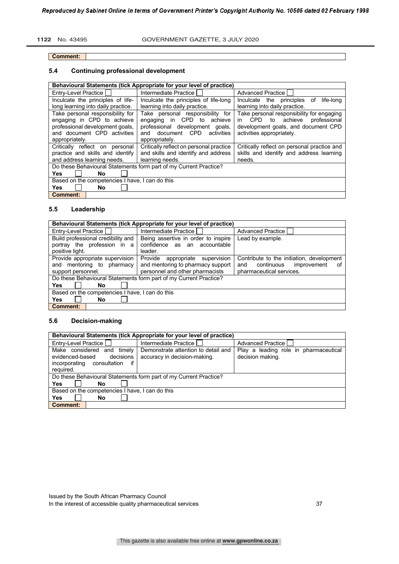#### **Comment:**

# **5.4 Continuing professional development**

|                                                                | Behavioural Statements (tick Appropriate for your level of practice)     |                                                                                              |
|----------------------------------------------------------------|--------------------------------------------------------------------------|----------------------------------------------------------------------------------------------|
| Entry-Level Practice                                           | Intermediate Practice                                                    | Advanced Practice I                                                                          |
| Inculcate the principles of life-                              | Inculcate the principles of life-long                                    | Inculcate the principles<br>life-long<br>of                                                  |
| long learning into daily practice.                             | learning into daily practice.                                            | learning into daily practice.                                                                |
| Take personal responsibility for<br>engaging in CPD to achieve | Take personal responsibility for<br>CPD to<br>achieve<br>engaging<br>in. | Take personal responsibility for engaging<br><b>CPD</b><br>to achieve<br>professional<br>in. |
| professional development goals,                                | professional development goals,                                          | development goals, and document CPD                                                          |
| and document CPD activities                                    | document CPD<br>activities<br>and                                        | activities appropriately.                                                                    |
| appropriately.                                                 | appropriately.                                                           |                                                                                              |
| Critically reflect on<br>personal                              | Critically reflect on personal practice                                  | Critically reflect on personal practice and                                                  |
| practice and skills and identify                               | and skills and identify and address                                      | skills and identify and address learning                                                     |
| and address learning needs.                                    | learning needs.                                                          | needs.                                                                                       |
|                                                                | Do these Behavioural Statements form part of my Current Practice?        |                                                                                              |
| <b>Yes</b><br>No                                               |                                                                          |                                                                                              |
| Based on the competencies I have, I can do this                |                                                                          |                                                                                              |
| <b>Yes</b><br>No.                                              |                                                                          |                                                                                              |
| <b>Comment:</b>                                                |                                                                          |                                                                                              |

# **5.5 Leadership**

|                                                 | Behavioural Statements (tick Appropriate for your level of practice) |                                           |
|-------------------------------------------------|----------------------------------------------------------------------|-------------------------------------------|
| Entry-Level Practice                            | Intermediate Practice I                                              | <b>Advanced Practice I</b>                |
| Build professional credibility and              | Being assertive in order to inspire                                  | Lead by example.                          |
| portray the profession in a                     | confidence as<br>an<br>accountable                                   |                                           |
| positive light.                                 | leader.                                                              |                                           |
| Provide appropriate supervision                 | Provide appropriate supervision                                      | Contribute to the initiation, development |
| and mentoring to pharmacy                       | and mentoring to pharmacy support                                    | continuous<br>improvement<br>and<br>οf    |
| support personnel.                              | personnel and other pharmacists                                      | pharmaceutical services.                  |
|                                                 | Do these Behavioural Statements form part of my Current Practice?    |                                           |
| <b>Yes</b><br>No                                |                                                                      |                                           |
| Based on the competencies I have, I can do this |                                                                      |                                           |
| <b>Yes</b><br>No                                |                                                                      |                                           |
| Comment:                                        |                                                                      |                                           |

# **5.6 Decision-making**

| Behavioural Statements (tick Appropriate for your level of practice)                                           |                                                                     |                                                           |
|----------------------------------------------------------------------------------------------------------------|---------------------------------------------------------------------|-----------------------------------------------------------|
| Entry-Level Practice                                                                                           | Intermediate Practice I                                             | <b>Advanced Practice I</b>                                |
| Make considered and<br>timely<br>decisions<br>evidenced-based<br>if<br>incorporating consultation<br>required. | Demonstrate attention to detail and<br>accuracy in decision-making. | Play a leading role in pharmaceutical<br>decision making. |
|                                                                                                                | Do these Behavioural Statements form part of my Current Practice?   |                                                           |
| <b>Yes</b><br>No                                                                                               |                                                                     |                                                           |
| Based on the competencies I have, I can do this                                                                |                                                                     |                                                           |
| Yes<br>No                                                                                                      |                                                                     |                                                           |
| <b>Comment:</b>                                                                                                |                                                                     |                                                           |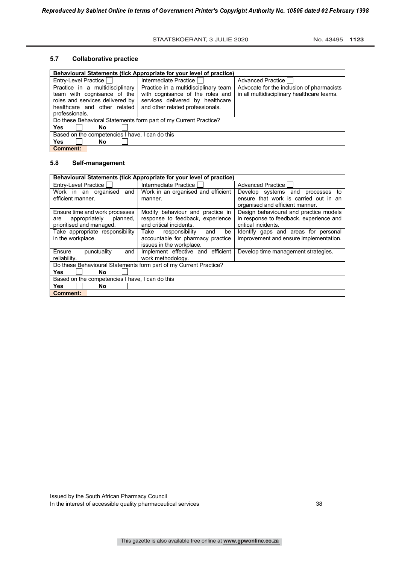#### **5.7 Collaborative practice**

| Behavioural Statements (tick Appropriate for your level of practice)                                                                                |                                                                                                                                                  |                                                                                         |
|-----------------------------------------------------------------------------------------------------------------------------------------------------|--------------------------------------------------------------------------------------------------------------------------------------------------|-----------------------------------------------------------------------------------------|
| Entry-Level Practice                                                                                                                                | Intermediate Practice                                                                                                                            | Advanced Practice                                                                       |
| Practice in a multidisciplinary<br>team with cognisance of the<br>roles and services delivered by<br>healthcare and other related<br>professionals. | Practice in a multidisciplinary team<br>with cognisance of the roles and<br>services delivered by healthcare<br>and other related professionals. | Advocate for the inclusion of pharmacists<br>in all multidisciplinary healthcare teams. |
| Do these Behavioral Statements form part of my Current Practice?                                                                                    |                                                                                                                                                  |                                                                                         |
| Yes<br>No                                                                                                                                           |                                                                                                                                                  |                                                                                         |
| Based on the competencies I have, I can do this                                                                                                     |                                                                                                                                                  |                                                                                         |
| <b>Yes</b><br>No                                                                                                                                    |                                                                                                                                                  |                                                                                         |
| <b>Comment:</b>                                                                                                                                     |                                                                                                                                                  |                                                                                         |

#### **5.8 Self-management**

| Behavioural Statements (tick Appropriate for your level of practice)                           |                                                                                                      |                                                                                                              |
|------------------------------------------------------------------------------------------------|------------------------------------------------------------------------------------------------------|--------------------------------------------------------------------------------------------------------------|
| Entry-Level Practice                                                                           | Intermediate Practice                                                                                | Advanced Practice                                                                                            |
| Work in an organised<br>and<br>efficient manner.                                               | Work in an organised and efficient<br>manner.                                                        | Develop systems and processes to<br>ensure that work is carried out in an<br>organised and efficient manner. |
| Ensure time and work processes<br>appropriately<br>planned,<br>are<br>prioritised and managed. | Modify behaviour and practice in<br>response to feedback, experience<br>and critical incidents.      | Design behavioural and practice models<br>in response to feedback, experience and<br>critical incidents.     |
| Take appropriate responsibility<br>in the workplace.                                           | Take<br>responsibility<br>and<br>be<br>accountable for pharmacy practice<br>issues in the workplace. | Identify gaps and areas for personal<br>improvement and ensure implementation.                               |
| Ensure<br>punctuality<br>and<br>reliability.                                                   | Implement effective and efficient<br>work methodology.                                               | Develop time management strategies.                                                                          |
| Do these Behavioural Statements form part of my Current Practice?<br><b>Yes</b><br>No          |                                                                                                      |                                                                                                              |
| Based on the competencies I have, I can do this<br><b>Yes</b><br>No                            |                                                                                                      |                                                                                                              |
| Comment:                                                                                       |                                                                                                      |                                                                                                              |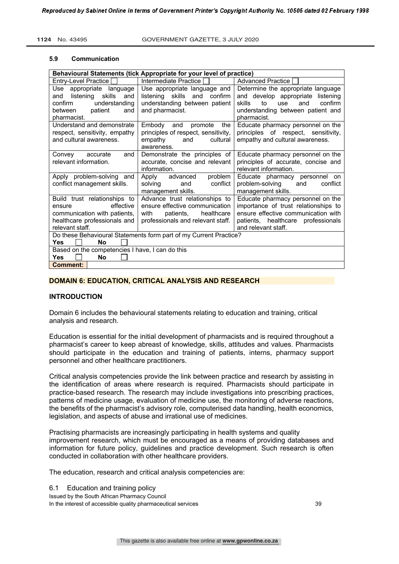#### **5.9 Communication**

| Behavioural Statements (tick Appropriate for your level of practice)                                                                   |                                                                                                                                          |                                                                                                                                                                               |
|----------------------------------------------------------------------------------------------------------------------------------------|------------------------------------------------------------------------------------------------------------------------------------------|-------------------------------------------------------------------------------------------------------------------------------------------------------------------------------|
| Entry-Level Practice                                                                                                                   | Intermediate Practice                                                                                                                    | <b>Advanced Practice</b>                                                                                                                                                      |
| Use appropriate language<br>listening skills<br>and<br>and<br>confirm<br>understanding                                                 | Use appropriate language and  <br>listening skills and<br>confirm<br>understanding between patient                                       | Determine the appropriate language<br>and develop appropriate listening<br>confirm<br>skills<br>to<br>and<br>use                                                              |
| between<br>patient<br>and<br>pharmacist.                                                                                               | and pharmacist.                                                                                                                          | understanding between patient and<br>pharmacist.                                                                                                                              |
| Understand and demonstrate<br>respect, sensitivity, empathy<br>and cultural awareness.                                                 | Embody and promote<br>the<br>principles of respect, sensitivity,<br>empathy<br>cultural<br>and<br>awareness.                             | Educate pharmacy personnel on the<br>principles of respect, sensitivity,<br>empathy and cultural awareness.                                                                   |
| accurate<br>Convey<br>and<br>relevant information.                                                                                     | Demonstrate the principles of<br>accurate, concise and relevant<br>information.                                                          | Educate pharmacy personnel on the<br>principles of accurate, concise and<br>relevant information.                                                                             |
| Apply problem-solving and<br>conflict management skills.                                                                               | problem<br>Apply advanced<br>conflict<br>solving<br>and<br>management skills.                                                            | Educate pharmacy personnel on<br>problem-solving<br>and<br>conflict<br>management skills.                                                                                     |
| Build trust relationships to<br>effective<br>ensure<br>communication with patients,<br>healthcare professionals and<br>relevant staff. | Advance trust relationships to<br>ensure effective communication<br>healthcare<br>patients,<br>with<br>professionals and relevant staff. | Educate pharmacy personnel on the<br>importance of trust relationships to<br>ensure effective communication with<br>patients, healthcare professionals<br>and relevant staff. |
| <b>Yes</b><br><b>No</b>                                                                                                                | Do these Behavioural Statements form part of my Current Practice?                                                                        |                                                                                                                                                                               |
| Based on the competencies I have, I can do this<br>Yes<br>No                                                                           |                                                                                                                                          |                                                                                                                                                                               |
| <b>Comment:</b>                                                                                                                        |                                                                                                                                          |                                                                                                                                                                               |

## **DOMAIN 6: EDUCATION, CRITICAL ANALYSIS AND RESEARCH**

#### **INTRODUCTION**

Domain 6 includes the behavioural statements relating to education and training, critical analysis and research.

Education is essential for the initial development of pharmacists and is required throughout a pharmacist's career to keep abreast of knowledge, skills, attitudes and values. Pharmacists should participate in the education and training of patients, interns, pharmacy support personnel and other healthcare practitioners.

Critical analysis competencies provide the link between practice and research by assisting in the identification of areas where research is required. Pharmacists should participate in practice-based research. The research may include investigations into prescribing practices, patterns of medicine usage, evaluation of medicine use, the monitoring of adverse reactions, the benefits of the pharmacist's advisory role, computerised data handling, health economics, legislation, and aspects of abuse and irrational use of medicines.

Practising pharmacists are increasingly participating in health systems and quality improvement research, which must be encouraged as a means of providing databases and information for future policy, guidelines and practice development. Such research is often conducted in collaboration with other healthcare providers.

The education, research and critical analysis competencies are:

Issued by the South African Pharmacy Council In the interest of accessible quality pharmaceutical services 39 6.1 Education and training policy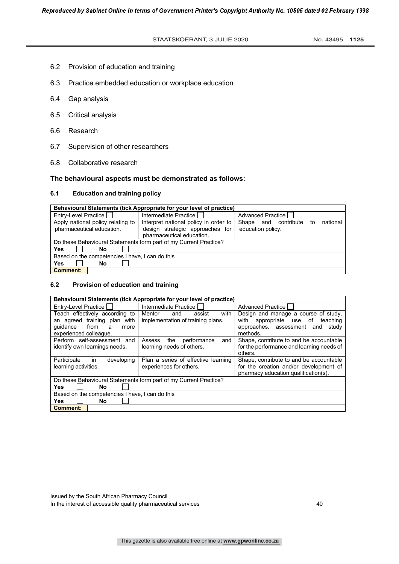- 6.2 Provision of education and training
- 6.3 Practice embedded education or workplace education
- 6.4 Gap analysis
- 6.5 Critical analysis
- 6.6 Research
- 6.7 Supervision of other researchers
- 6.8 Collaborative research

#### **The behavioural aspects must be demonstrated as follows:**

#### **6.1 Education and training policy**

| Behavioural Statements (tick Appropriate for your level of practice) |                                                                                                       |                                                                |
|----------------------------------------------------------------------|-------------------------------------------------------------------------------------------------------|----------------------------------------------------------------|
| Entry-Level Practice                                                 | Intermediate Practice                                                                                 | Advanced Practice                                              |
| Apply national policy relating to<br>pharmaceutical education.       | Interpret national policy in order to<br>design strategic approaches for<br>pharmaceutical education. | national<br>Shape<br>and contribute<br>to<br>education policy. |
|                                                                      | Do these Behavioural Statements form part of my Current Practice?                                     |                                                                |
| Yes<br>No                                                            |                                                                                                       |                                                                |
| Based on the competencies I have, I can do this                      |                                                                                                       |                                                                |
| Yes<br>No                                                            |                                                                                                       |                                                                |
| <b>Comment:</b>                                                      |                                                                                                       |                                                                |

# **6.2 Provision of education and training**

| Behavioural Statements (tick Appropriate for your level of practice)                                                      |                                                                      |                                                                                                                                   |
|---------------------------------------------------------------------------------------------------------------------------|----------------------------------------------------------------------|-----------------------------------------------------------------------------------------------------------------------------------|
| Entry-Level Practice                                                                                                      | Intermediate Practice                                                | Advanced Practice I                                                                                                               |
| Teach effectively according to<br>an agreed training plan with<br>quidance<br>from<br>a<br>more<br>experienced colleague. | with<br>Mentor<br>and<br>assist<br>implementation of training plans. | Design and manage a course of study,<br>with<br>appropriate use of<br>teaching<br>approaches, assessment and<br>studv<br>methods. |
| Perform self-assessment and<br>identify own learnings needs.                                                              | the<br>performance<br>Assess<br>and<br>learning needs of others.     | Shape, contribute to and be accountable<br>for the performance and learning needs of<br>others.                                   |
| Participate<br>developing<br><i>in</i><br>learning activities.                                                            | Plan a series of effective learning<br>experiences for others.       | Shape, contribute to and be accountable<br>for the creation and/or development of<br>pharmacy education qualification(s).         |
|                                                                                                                           | Do these Behavioural Statements form part of my Current Practice?    |                                                                                                                                   |
| Yes<br>No                                                                                                                 |                                                                      |                                                                                                                                   |
| Based on the competencies I have, I can do this                                                                           |                                                                      |                                                                                                                                   |
| Yes<br>No                                                                                                                 |                                                                      |                                                                                                                                   |
| <b>Comment:</b>                                                                                                           |                                                                      |                                                                                                                                   |

Issued by the South African Pharmacy Council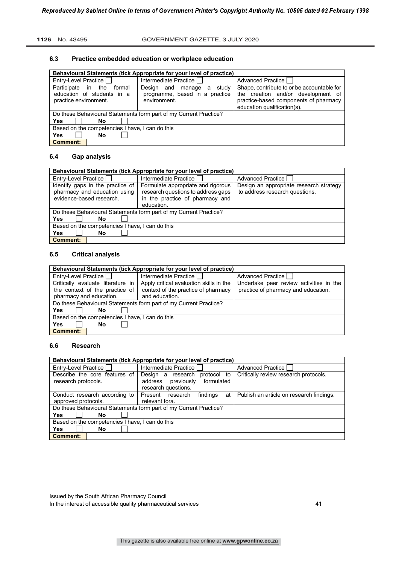#### **1126** No. 43495 GOVERNMENT GAZETTE, 3 JULY 2020

#### **6.3 Practice embedded education or workplace education**

| Behavioural Statements (tick Appropriate for your level of practice)                |                                                                                         |                                                                                                                                                          |
|-------------------------------------------------------------------------------------|-----------------------------------------------------------------------------------------|----------------------------------------------------------------------------------------------------------------------------------------------------------|
|                                                                                     |                                                                                         |                                                                                                                                                          |
| Entry-Level Practice                                                                | Intermediate Practice                                                                   | Advanced Practice                                                                                                                                        |
| Participate in the<br>formal<br>education of students in a<br>practice environment. | study<br>Desian<br>and<br>manage<br>a<br>programme, based in a practice<br>environment. | Shape, contribute to or be accountable for<br>the creation and/or development of<br>practice-based components of pharmacy<br>education qualification(s). |
|                                                                                     | Do these Behavioural Statements form part of my Current Practice?                       |                                                                                                                                                          |
| Yes<br>No                                                                           |                                                                                         |                                                                                                                                                          |
| Based on the competencies I have, I can do this                                     |                                                                                         |                                                                                                                                                          |
| Yes<br>No                                                                           |                                                                                         |                                                                                                                                                          |
| Comment:                                                                            |                                                                                         |                                                                                                                                                          |

# **6.4 Gap analysis**

| Behavioural Statements (tick Appropriate for your level of practice)                         |                                                                                                                           |                                                                           |
|----------------------------------------------------------------------------------------------|---------------------------------------------------------------------------------------------------------------------------|---------------------------------------------------------------------------|
| Entry-Level Practice                                                                         | Intermediate Practice I                                                                                                   | Advanced Practice I                                                       |
| Identify gaps in the practice of<br>pharmacy and education using<br>evidence-based research. | Formulate appropriate and rigorous<br>research questions to address gaps<br>in the practice of pharmacy and<br>education. | Design an appropriate research strategy<br>to address research questions. |
|                                                                                              | Do these Behavioural Statements form part of my Current Practice?                                                         |                                                                           |
| Yes<br>No                                                                                    |                                                                                                                           |                                                                           |
| Based on the competencies I have, I can do this                                              |                                                                                                                           |                                                                           |
| Yes<br>No                                                                                    |                                                                                                                           |                                                                           |
| <b>Comment:</b>                                                                              |                                                                                                                           |                                                                           |

# **6.5 Critical analysis**

| Behavioural Statements (tick Appropriate for your level of practice) |                                                                   |                                         |
|----------------------------------------------------------------------|-------------------------------------------------------------------|-----------------------------------------|
| Entry-Level Practice                                                 | Intermediate Practice                                             | Advanced Practice I                     |
| Critically evaluate literature in                                    | Apply critical evaluation skills in the                           | Undertake peer review activities in the |
| the context of the practice of                                       | context of the practice of pharmacy                               | practice of pharmacy and education.     |
| pharmacy and education.                                              | and education.                                                    |                                         |
|                                                                      | Do these Behavioural Statements form part of my Current Practice? |                                         |
| Yes<br>No                                                            |                                                                   |                                         |
| Based on the competencies I have, I can do this                      |                                                                   |                                         |
| Yes<br>No                                                            |                                                                   |                                         |
| <b>Comment:</b>                                                      |                                                                   |                                         |

#### **6.6 Research**

| Behavioural Statements (tick Appropriate for your level of practice) |                                     |                                          |  |  |
|----------------------------------------------------------------------|-------------------------------------|------------------------------------------|--|--|
| Entry-Level Practice                                                 | Intermediate Practice               | <b>Advanced Practice I</b>               |  |  |
| Describe the core features of                                        | Design a research<br>protocol to    | Critically review research protocols.    |  |  |
| research protocols.                                                  | formulated<br>address<br>previously |                                          |  |  |
|                                                                      | research questions.                 |                                          |  |  |
| Conduct research according to                                        | Present research<br>findings<br>at  | Publish an article on research findings. |  |  |
| approved protocols.                                                  | relevant fora.                      |                                          |  |  |
| Do these Behavioural Statements form part of my Current Practice?    |                                     |                                          |  |  |
| Yes<br>No                                                            |                                     |                                          |  |  |
| Based on the competencies I have, I can do this                      |                                     |                                          |  |  |
| Yes<br>No                                                            |                                     |                                          |  |  |
| <b>Comment:</b>                                                      |                                     |                                          |  |  |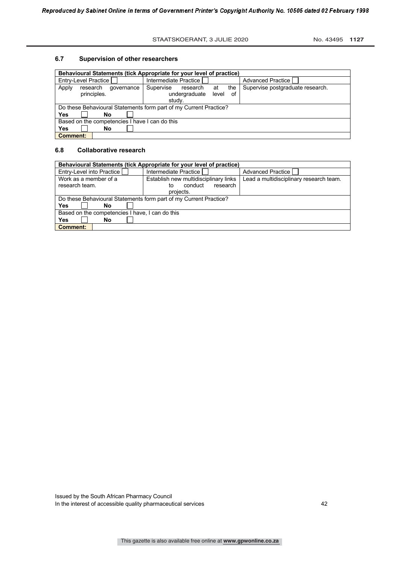#### STAATSKOERANT, 3 JULIE 2020 No. 43495 1127

#### **6.7 Supervision of other researchers**

| Behavioural Statements (tick Appropriate for your level of practice) |                                    |                                  |  |  |
|----------------------------------------------------------------------|------------------------------------|----------------------------------|--|--|
| Entry-Level Practice                                                 | Intermediate Practice              | <b>Advanced Practice I</b>       |  |  |
| Apply<br>research<br>qovernance                                      | Supervise<br>the<br>research<br>at | Supervise postgraduate research. |  |  |
| principles.                                                          | undergraduate level<br>of          |                                  |  |  |
|                                                                      | study.                             |                                  |  |  |
| Do these Behavioural Statements form part of my Current Practice?    |                                    |                                  |  |  |
| Yes<br>No                                                            |                                    |                                  |  |  |
| Based on the competencies I have I can do this                       |                                    |                                  |  |  |
| Yes<br>No                                                            |                                    |                                  |  |  |
| <b>Comment:</b>                                                      |                                    |                                  |  |  |

# **6.8 Collaborative research**

| Behavioural Statements (tick Appropriate for your level of practice) |                                       |                                         |  |  |
|----------------------------------------------------------------------|---------------------------------------|-----------------------------------------|--|--|
| Entry-Level into Practice                                            | Intermediate Practice I               | <b>Advanced Practice</b>                |  |  |
| Work as a member of a                                                | Establish new multidisciplinary links | Lead a multidisciplinary research team. |  |  |
| research team.                                                       | research<br>conduct<br>to             |                                         |  |  |
|                                                                      | projects.                             |                                         |  |  |
| Do these Behavioural Statements form part of my Current Practice?    |                                       |                                         |  |  |
| Yes<br>No                                                            |                                       |                                         |  |  |
| Based on the competencies I have, I can do this                      |                                       |                                         |  |  |
| Yes<br>No                                                            |                                       |                                         |  |  |
| <b>Comment:</b>                                                      |                                       |                                         |  |  |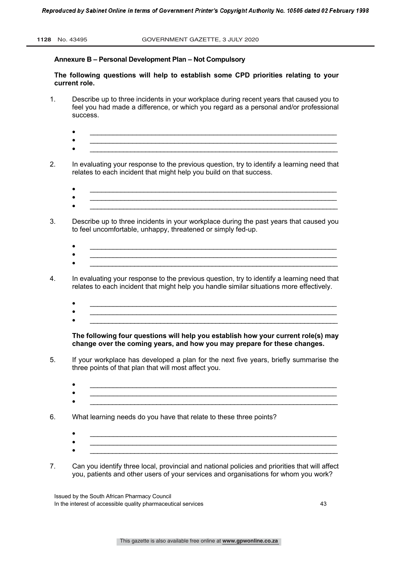# **Annexure B – Personal Development Plan – Not Compulsory**

**The following questions will help to establish some CPD priorities relating to your current role.** 

- 1. Describe up to three incidents in your workplace during recent years that caused you to feel you had made a difference, or which you regard as a personal and/or professional success.
	- $\bullet$   $\qquad \qquad \bullet$   $\qquad \qquad \bullet$   $\qquad \qquad \bullet$   $\qquad \qquad \bullet$   $\qquad \qquad \bullet$   $\qquad \bullet$   $\qquad \bullet$   $\qquad \bullet$   $\qquad \bullet$   $\qquad \bullet$   $\qquad \bullet$   $\qquad \bullet$   $\qquad \bullet$   $\qquad \bullet$   $\qquad \bullet$   $\qquad \bullet$   $\qquad \bullet$   $\qquad \bullet$   $\qquad \bullet$   $\qquad \bullet$   $\qquad \bullet$   $\qquad \bullet$   $\qquad \bullet$   $\qquad \bullet$   $\qquad \bullet$
	- $\Box$  $\bullet$   $\qquad \qquad$   $\bullet$   $\qquad \qquad$   $\qquad$   $\qquad$   $\qquad$   $\qquad$   $\qquad$   $\qquad$   $\qquad$   $\qquad$   $\qquad$   $\qquad$   $\qquad$   $\qquad$   $\qquad$   $\qquad$   $\qquad$   $\qquad$   $\qquad$   $\qquad$   $\qquad$   $\qquad$   $\qquad$   $\qquad$   $\qquad$   $\qquad$   $\qquad$   $\qquad$   $\qquad$   $\qquad$   $\qquad$   $\qquad$   $\qquad$   $\qquad$
- 2. In evaluating your response to the previous question, try to identify a learning need that relates to each incident that might help you build on that success.
	- $\bullet$   $\qquad \qquad \bullet$   $\qquad \qquad \bullet$   $\qquad \qquad \bullet$   $\qquad \qquad \bullet$   $\qquad \qquad \bullet$   $\qquad \qquad \bullet$   $\qquad \bullet$   $\qquad \bullet$   $\qquad \bullet$   $\qquad \bullet$   $\qquad \bullet$   $\qquad \bullet$   $\qquad \bullet$   $\qquad \bullet$   $\qquad \bullet$   $\qquad \bullet$   $\qquad \bullet$   $\qquad \bullet$   $\qquad \bullet$   $\qquad \bullet$   $\qquad \bullet$   $\qquad \bullet$   $\qquad \bullet$   $\qquad \bullet$   $\qquad \bullet$
	- ï \_\_\_\_\_\_\_\_\_\_\_\_\_\_\_\_\_\_\_\_\_\_\_\_\_\_\_\_\_\_\_\_\_\_\_\_\_\_\_\_\_\_\_\_\_\_\_\_\_\_\_\_\_\_\_\_\_\_\_\_\_\_\_\_
- 3. Describe up to three incidents in your workplace during the past years that caused you to feel uncomfortable, unhappy, threatened or simply fed-up.
	- $\bullet$   $\qquad \qquad \bullet$   $\qquad \qquad \bullet$   $\qquad \qquad \bullet$   $\qquad \qquad \bullet$   $\qquad \qquad \bullet$   $\qquad \qquad \bullet$   $\qquad \bullet$   $\qquad \bullet$   $\qquad \bullet$   $\qquad \bullet$   $\qquad \bullet$   $\qquad \bullet$   $\qquad \bullet$   $\qquad \bullet$   $\qquad \bullet$   $\qquad \bullet$   $\qquad \bullet$   $\qquad \bullet$   $\qquad \bullet$   $\qquad \bullet$   $\qquad \bullet$   $\qquad \bullet$   $\qquad \bullet$   $\qquad \bullet$   $\qquad \bullet$
	- $\bullet$   $\blacksquare$  $\bullet$   $\qquad \qquad$   $\bullet$   $\qquad \qquad$   $\qquad$   $\qquad$   $\qquad$   $\qquad$   $\qquad$   $\qquad$   $\qquad$   $\qquad$   $\qquad$   $\qquad$   $\qquad$   $\qquad$   $\qquad$   $\qquad$   $\qquad$   $\qquad$   $\qquad$   $\qquad$   $\qquad$   $\qquad$   $\qquad$   $\qquad$   $\qquad$   $\qquad$   $\qquad$   $\qquad$   $\qquad$   $\qquad$   $\qquad$   $\qquad$   $\qquad$   $\qquad$
- 4. In evaluating your response to the previous question, try to identify a learning need that relates to each incident that might help you handle similar situations more effectively.
	- ï \_\_\_\_\_\_\_\_\_\_\_\_\_\_\_\_\_\_\_\_\_\_\_\_\_\_\_\_\_\_\_\_\_\_\_\_\_\_\_\_\_\_\_\_\_\_\_\_\_\_\_\_\_\_\_\_\_\_\_\_\_\_\_\_
	- $\bullet$   $\blacksquare$  $\bullet$   $\qquad \qquad$   $\qquad$   $\qquad$   $\qquad$   $\qquad$   $\qquad$   $\qquad$   $\qquad$   $\qquad$   $\qquad$   $\qquad$   $\qquad$   $\qquad$   $\qquad$   $\qquad$   $\qquad$   $\qquad$   $\qquad$   $\qquad$   $\qquad$   $\qquad$   $\qquad$   $\qquad$   $\qquad$   $\qquad$   $\qquad$   $\qquad$   $\qquad$   $\qquad$   $\qquad$   $\qquad$   $\qquad$   $\qquad$   $\qquad$   $\qquad$   $\q$

**The following four questions will help you establish how your current role(s) may change over the coming years, and how you may prepare for these changes.**

- 5. If your workplace has developed a plan for the next five years, briefly summarise the three points of that plan that will most affect you.
	- $\bullet$   $\qquad \qquad \bullet$   $\qquad \qquad \bullet$   $\qquad \qquad \bullet$   $\qquad \qquad \bullet$   $\qquad \qquad \bullet$   $\qquad \bullet$   $\qquad \bullet$   $\qquad \bullet$   $\qquad \bullet$   $\qquad \bullet$   $\qquad \bullet$   $\qquad \bullet$   $\qquad \bullet$   $\qquad \bullet$   $\qquad \bullet$   $\qquad \bullet$   $\qquad \bullet$   $\qquad \bullet$   $\qquad \bullet$   $\qquad \bullet$   $\qquad \bullet$   $\qquad \bullet$   $\qquad \bullet$   $\qquad \bullet$   $\qquad \bullet$
	- $\bullet$   $\qquad \qquad$   $\qquad \qquad$   $\qquad$   $\qquad$   $\qquad$   $\qquad$   $\qquad$   $\qquad$   $\qquad$   $\qquad$   $\qquad$   $\qquad$   $\qquad$   $\qquad$   $\qquad$   $\qquad$   $\qquad$   $\qquad$   $\qquad$   $\qquad$   $\qquad$   $\qquad$   $\qquad$   $\qquad$   $\qquad$   $\qquad$   $\qquad$   $\qquad$   $\qquad$   $\qquad$   $\qquad$   $\qquad$   $\qquad$   $\qquad$   $\qquad$
- 6. What learning needs do you have that relate to these three points?
	- $\bullet$   $\qquad \qquad \bullet$   $\qquad \qquad \bullet$   $\qquad \qquad \bullet$   $\qquad \qquad \bullet$   $\qquad \qquad \bullet$   $\qquad \bullet$   $\qquad \bullet$   $\qquad \bullet$   $\qquad \bullet$   $\qquad \bullet$   $\qquad \bullet$   $\qquad \bullet$   $\qquad \bullet$   $\qquad \bullet$   $\qquad \bullet$   $\qquad \bullet$   $\qquad \bullet$   $\qquad \bullet$   $\qquad \bullet$   $\qquad \bullet$   $\qquad \bullet$   $\qquad \bullet$   $\qquad \bullet$   $\qquad \bullet$   $\qquad \bullet$
	- $\bullet$   $\qquad \qquad$   $\blacksquare$
- 7. Can you identify three local, provincial and national policies and priorities that will affect you, patients and other users of your services and organisations for whom you work?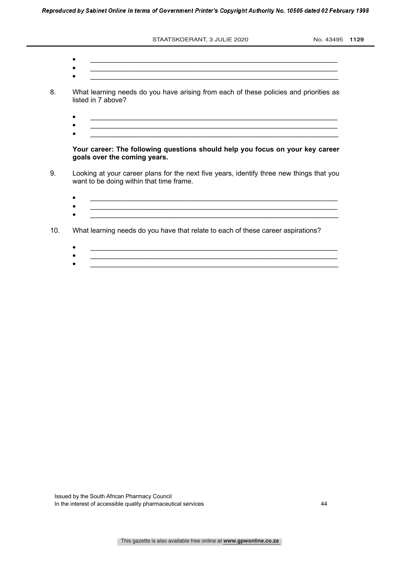STAATSKOERANT, 3 JULIE 2020 No. 43495 1129

 $\bullet$   $\qquad \qquad \bullet$   $\qquad \qquad \bullet$   $\qquad \qquad \bullet$   $\qquad \qquad \bullet$   $\qquad \qquad \bullet$   $\qquad \bullet$   $\qquad \bullet$   $\qquad \bullet$   $\qquad \bullet$   $\qquad \bullet$   $\qquad \bullet$   $\qquad \bullet$   $\qquad \bullet$   $\qquad \bullet$   $\qquad \bullet$   $\qquad \bullet$   $\qquad \bullet$   $\qquad \bullet$   $\qquad \bullet$   $\qquad \bullet$   $\qquad \bullet$   $\qquad \bullet$   $\qquad \bullet$   $\qquad \bullet$   $\qquad \bullet$  ï \_\_\_\_\_\_\_\_\_\_\_\_\_\_\_\_\_\_\_\_\_\_\_\_\_\_\_\_\_\_\_\_\_\_\_\_\_\_\_\_\_\_\_\_\_\_\_\_\_\_\_\_\_\_\_\_\_\_\_\_\_\_\_\_

ï \_\_\_\_\_\_\_\_\_\_\_\_\_\_\_\_\_\_\_\_\_\_\_\_\_\_\_\_\_\_\_\_\_\_\_\_\_\_\_\_\_\_\_\_\_\_\_\_\_\_\_\_\_\_\_\_\_\_\_\_\_\_\_\_\_\_\_

- 8. What learning needs do you have arising from each of these policies and priorities as listed in 7 above?
	- $\bullet$   $\qquad \qquad \bullet$   $\qquad \qquad \bullet$   $\qquad \qquad \bullet$   $\qquad \qquad \bullet$   $\qquad \qquad \bullet$   $\qquad \bullet$   $\qquad \bullet$   $\qquad \bullet$   $\qquad \bullet$   $\qquad \bullet$   $\qquad \bullet$   $\qquad \bullet$   $\qquad \bullet$   $\qquad \bullet$   $\qquad \bullet$   $\qquad \bullet$   $\qquad \bullet$   $\qquad \bullet$   $\qquad \bullet$   $\qquad \bullet$   $\qquad \bullet$   $\qquad \bullet$   $\qquad \bullet$   $\qquad \bullet$   $\qquad \bullet$
	- ï \_\_\_\_\_\_\_\_\_\_\_\_\_\_\_\_\_\_\_\_\_\_\_\_\_\_\_\_\_\_\_\_\_\_\_\_\_\_\_\_\_\_\_\_\_\_\_\_\_\_\_\_\_\_\_\_\_\_\_\_\_\_\_\_ ï \_\_\_\_\_\_\_\_\_\_\_\_\_\_\_\_\_\_\_\_\_\_\_\_\_\_\_\_\_\_\_\_\_\_\_\_\_\_\_\_\_\_\_\_\_\_\_\_\_\_\_\_\_\_\_\_\_\_\_\_\_\_\_\_\_\_\_

**Your career: The following questions should help you focus on your key career goals over the coming years.** 

- 9. Looking at your career plans for the next five years, identify three new things that you want to be doing within that time frame.
	- $\bullet$  . The contract of the contract of the contract of the contract of the contract of the contract of the contract of the contract of the contract of the contract of the contract of the contract of the contract of the co
	- $\bullet$  . The contract of the contract of the contract of the contract of the contract of the contract of the contract of the contract of the contract of the contract of the contract of the contract of the contract of the co ï \_\_\_\_\_\_\_\_\_\_\_\_\_\_\_\_\_\_\_\_\_\_\_\_\_\_\_\_\_\_\_\_\_\_\_\_\_\_\_\_\_\_\_\_\_\_\_\_\_\_\_\_\_\_\_\_\_\_\_\_\_\_\_\_\_\_\_
- 10. What learning needs do you have that relate to each of these career aspirations?
	- $\bullet$   $\qquad \qquad \bullet$   $\qquad \qquad \bullet$   $\qquad \qquad \bullet$   $\qquad \qquad \bullet$   $\qquad \qquad \bullet$   $\qquad \qquad \bullet$   $\qquad \bullet$   $\qquad \bullet$   $\qquad \bullet$   $\qquad \bullet$   $\qquad \bullet$   $\qquad \bullet$   $\qquad \bullet$   $\qquad \bullet$   $\qquad \bullet$   $\qquad \bullet$   $\qquad \bullet$   $\qquad \bullet$   $\qquad \bullet$   $\qquad \bullet$   $\qquad \bullet$   $\qquad \bullet$   $\qquad \bullet$   $\qquad \bullet$   $\qquad \bullet$
	- ï \_\_\_\_\_\_\_\_\_\_\_\_\_\_\_\_\_\_\_\_\_\_\_\_\_\_\_\_\_\_\_\_\_\_\_\_\_\_\_\_\_\_\_\_\_\_\_\_\_\_\_\_\_\_\_\_\_\_\_\_\_\_\_\_ ï \_\_\_\_\_\_\_\_\_\_\_\_\_\_\_\_\_\_\_\_\_\_\_\_\_\_\_\_\_\_\_\_\_\_\_\_\_\_\_\_\_\_\_\_\_\_\_\_\_\_\_\_\_\_\_\_\_\_\_\_\_\_\_\_\_\_\_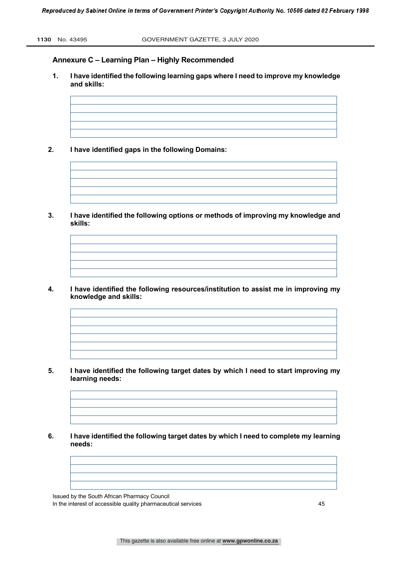# **Annexure C – Learning Plan – Highly Recommended**

- **1. I have identified the following learning gaps where I need to improve my knowledge and skills:**
- **2. I have identified gaps in the following Domains:**
	-
- **3. I have identified the following options or methods of improving my knowledge and skills:**
- **4. I have identified the following resources/institution to assist me in improving my knowledge and skills:**

- **5. I have identified the following target dates by which I need to start improving my learning needs:**
- **6. I have identified the following target dates by which I need to complete my learning needs:**